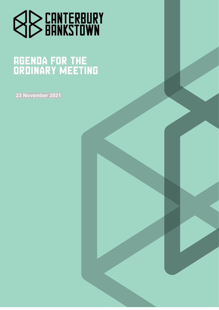

# **AGENDA FOR THE<br>ORDINARY MEETING**

**23 November 2021**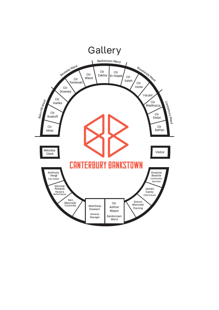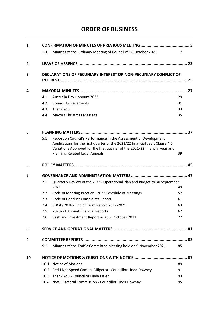# **ORDER OF BUSINESS**

| $\mathbf{1}$   |                                                                 |                                                                                                                                                                                                                                                                          |                |  |
|----------------|-----------------------------------------------------------------|--------------------------------------------------------------------------------------------------------------------------------------------------------------------------------------------------------------------------------------------------------------------------|----------------|--|
|                | 1.1                                                             | Minutes of the Ordinary Meeting of Council of 26 October 2021                                                                                                                                                                                                            | $\overline{7}$ |  |
| $\overline{2}$ |                                                                 |                                                                                                                                                                                                                                                                          |                |  |
| 3              | DECLARATIONS OF PECUNIARY INTEREST OR NON-PECUNIARY CONFLICT OF |                                                                                                                                                                                                                                                                          |                |  |
| 4              |                                                                 |                                                                                                                                                                                                                                                                          |                |  |
|                | 4.1                                                             | <b>Australia Day Honours 2022</b>                                                                                                                                                                                                                                        | 29             |  |
|                | 4.2                                                             | <b>Council Achievements</b>                                                                                                                                                                                                                                              | 31             |  |
|                | 4.3                                                             | <b>Thank You</b>                                                                                                                                                                                                                                                         | 33             |  |
|                | 4.4                                                             | Mayors Christmas Message                                                                                                                                                                                                                                                 | 35             |  |
| 5              |                                                                 |                                                                                                                                                                                                                                                                          |                |  |
|                | 5.1                                                             | Report on Council's Performance in the Assessment of Development<br>Applications for the first quarter of the 2021/22 financial year, Clause 4.6<br>Variations Approved for the first quarter of the 2021/22 financial year and<br><b>Planning Related Legal Appeals</b> | 39             |  |
| 6              |                                                                 |                                                                                                                                                                                                                                                                          |                |  |
| 7              |                                                                 |                                                                                                                                                                                                                                                                          |                |  |
|                | 7.1                                                             | Quarterly Review of the 21/22 Operational Plan and Budget to 30 September<br>2021                                                                                                                                                                                        | 49             |  |
|                | 7.2                                                             | Code of Meeting Practice - 2022 Schedule of Meetings                                                                                                                                                                                                                     | 57             |  |
|                | 7.3                                                             | Code of Conduct Complaints Report                                                                                                                                                                                                                                        | 61             |  |
|                | 7.4                                                             | CBCity 2028 - End of Term Report 2017-2021                                                                                                                                                                                                                               | 63             |  |
|                | 7.5                                                             | 2020/21 Annual Financial Reports                                                                                                                                                                                                                                         | 67             |  |
|                | 7.6                                                             | Cash and Investment Report as at 31 October 2021                                                                                                                                                                                                                         | 77             |  |
| 8              |                                                                 |                                                                                                                                                                                                                                                                          |                |  |
| 9              |                                                                 |                                                                                                                                                                                                                                                                          |                |  |
|                | 9.1                                                             | Minutes of the Traffic Committee Meeting held on 9 November 2021                                                                                                                                                                                                         | 85             |  |
| 10             |                                                                 |                                                                                                                                                                                                                                                                          |                |  |
|                | 10.1                                                            | <b>Notice of Motions</b>                                                                                                                                                                                                                                                 | 89             |  |
|                | 10.2                                                            | Red-Light Speed Camera Milperra - Councillor Linda Downey                                                                                                                                                                                                                | 91             |  |
|                | 10.3                                                            | Thank You - Councillor Linda Eisler                                                                                                                                                                                                                                      | 93             |  |
|                |                                                                 | 10.4 NSW Electoral Commission - Councillor Linda Downey                                                                                                                                                                                                                  | 95             |  |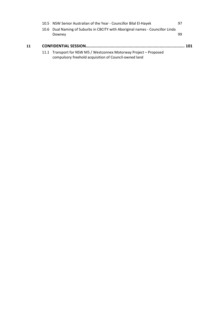|    | 10.5 NSW Senior Australian of the Year - Councillor Bilal El-Hayek                       | 97  |
|----|------------------------------------------------------------------------------------------|-----|
|    | 10.6 Dual Naming of Suburbs in CBCITY with Aboriginal names - Councillor Linda<br>Downey | 99  |
|    |                                                                                          |     |
| 11 |                                                                                          | 101 |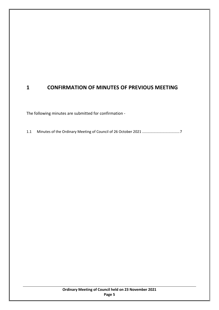## <span id="page-4-0"></span>**1 CONFIRMATION OF MINUTES OF PREVIOUS MEETING**

The following minutes are submitted for confirmation -

1.1 Minutes of the Ordinary Meeting of Council of 26 October 2021 ....................................[.7](#page-6-0)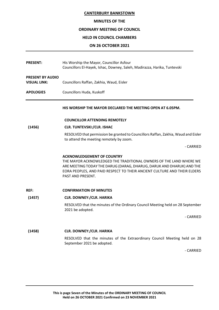#### **MINUTES OF THE**

#### **ORDINARY MEETING OF COUNCIL**

#### **HELD IN COUNCIL CHAMBERS**

#### **ON 26 OCTOBER 2021**

<span id="page-6-0"></span>

| <b>PRESENT:</b>                                | His Worship the Mayor, Councillor Asfour<br>Councillors El-Hayek, Ishac, Downey, Saleh, Madirazza, Harika, Tuntevski                                                                                                                                                              |
|------------------------------------------------|-----------------------------------------------------------------------------------------------------------------------------------------------------------------------------------------------------------------------------------------------------------------------------------|
| <b>PRESENT BY AUDIO</b><br><b>VISUAL LINK:</b> | Councillors Raffan, Zakhia, Waud, Eisler                                                                                                                                                                                                                                          |
| <b>APOLOGIES</b>                               | Councillors Huda, Kuskoff                                                                                                                                                                                                                                                         |
|                                                | HIS WORSHIP THE MAYOR DECLARED THE MEETING OPEN AT 6.05PM.                                                                                                                                                                                                                        |
|                                                | <b>COUNCILLOR ATTENDING REMOTELY</b>                                                                                                                                                                                                                                              |
| (1456)                                         | <b>CLR. TUNTEVSKI:/CLR. ISHAC</b>                                                                                                                                                                                                                                                 |
|                                                | RESOLVED that permission be granted to Councillors Raffan, Zakhia, Waud and Eisler<br>to attend the meeting remotely by zoom.                                                                                                                                                     |
|                                                | - CARRIED                                                                                                                                                                                                                                                                         |
|                                                | <b>ACKNOWLEDGEMENT OF COUNTRY</b><br>THE MAYOR ACKNOWLEDGED THE TRADITIONAL OWNERS OF THE LAND WHERE WE<br>ARE MEETING TODAY THE DARUG (DARAG, DHARUG, DARUK AND DHARUK) AND THE<br>EORA PEOPLES, AND PAID RESPECT TO THEIR ANCIENT CULTURE AND THEIR ELDERS<br>PAST AND PRESENT. |
| <b>REF:</b>                                    | <b>CONFIRMATION OF MINUTES</b>                                                                                                                                                                                                                                                    |
| (1457)                                         | <b>CLR. DOWNEY:/CLR. HARIKA</b>                                                                                                                                                                                                                                                   |
|                                                | RESOLVED that the minutes of the Ordinary Council Meeting held on 28 September<br>2021 be adopted.                                                                                                                                                                                |
|                                                | - CARRIED                                                                                                                                                                                                                                                                         |
| (1458)                                         | <b>CLR. DOWNEY:/CLR. HARIKA</b>                                                                                                                                                                                                                                                   |
|                                                | RESOLVED that the minutes of the Extraordinary Council Meeting held on 28<br>September 2021 be adopted.                                                                                                                                                                           |
|                                                | - CARRIED                                                                                                                                                                                                                                                                         |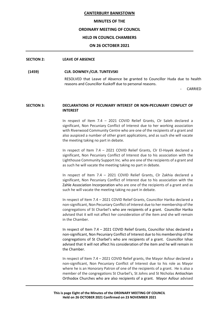#### **MINUTES OF THE**

#### **ORDINARY MEETING OF COUNCIL**

#### **HELD IN COUNCIL CHAMBERS**

#### **ON 26 OCTOBER 2021**

#### **SECTION 2: LEAVE OF ABSENCE**

#### **(1459) CLR. DOWNEY:/CLR. TUNTEVSKI**

RESOLVED that Leave of Absence be granted to Councillor Huda due to health reasons and Councillor Kuskoff due to personal reasons.

**CARRIED** 

#### **SECTION 3: DECLARATIONS OF PECUNIARY INTEREST OR NON-PECUNIARY CONFLICT OF INTEREST**

In respect of Item 7.4 – 2021 COVID Relief Grants, Clr Saleh declared a significant, Non Pecuniary Conflict of Interest due to her working association with Riverwood Community Centre who are one of the recipients of a grant and also auspiced a number of other grant applications, and as such she will vacate the meeting taking no part in debate.

In respect of Item 7.4 – 2021 COVID Relief Grants, Clr El-Hayek declared a significant, Non Pecuniary Conflict of Interest due to his association with the Lighthouse Community Support Inc. who are one of the recipients of a grant and as such he will vacate the meeting taking no part in debate.

In respect of Item 7.4 – 2021 COVID Relief Grants, Clr Zakhia declared a significant, Non Pecuniary Conflict of Interest due to his association with the Zahle Association Incorporation who are one of the recipients of a grant and as such he will vacate the meeting taking no part in debate.

In respect of Item 7.4 – 2021 COVID Relief Grants, Councillor Harika declared a non-significant, Non Pecuniary Conflict of Interest due to her membership of the congregations of St Charbel's who are recipients of a grant. Councillor Harika advised that it will not affect her consideration of the item and she will remain in the Chamber.

In respect of Item 7.4 – 2021 COVID Relief Grants, Councillor Ishac declared a non-significant, Non Pecuniary Conflict of Interest due to his membership of the congregations of St Charbel's who are recipients of a grant. Councillor Ishac advised that it will not affect his consideration of the item and he will remain in the Chamber.

In respect of Item 7.4 – 2021 COVID Relief grants, the Mayor Asfour declared a non-significant, Non Pecuniary Conflict of Interest due to his role as Mayor where he is an Honorary Patron of one of the recipients of a grant. He is also a member of the congregations St Charbel's, St Johns and St Nicholas Antiochian Orthodox Churches who are also recipients of a grant. Mayor Asfour advised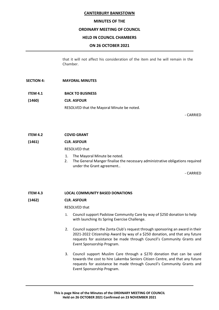#### **MINUTES OF THE**

#### **ORDINARY MEETING OF COUNCIL**

#### **HELD IN COUNCIL CHAMBERS**

#### **ON 26 OCTOBER 2021**

that it will not affect his consideration of the item and he will remain in the Chamber.

#### **SECTION 4: MAYORAL MINUTES**

**ITEM 4.1 BACK TO BUSINESS (1460) CLR. ASFOUR**

RESOLVED that the Mayoral Minute be noted.

- CARRIED

**ITEM 4.2 COVID GRANT**

**(1461) CLR. ASFOUR**

#### RESOLVED that

- 1. The Mayoral Minute be noted.
- 2. The General Manger finalise the necessary administrative obligations required under the Grant agreement..

- CARRIED

**ITEM 4.3 LOCAL COMMUNITY BASED DONATIONS**

#### **(1462) CLR. ASFOUR**

RESOLVED that

- 1. Council support Padstow Community Care by way of \$250 donation to help with launching its Spring Exercise Challenge.
- 2. Council support the Zonta Club's request through sponsoring an award in their 2021-2022 Citizenship Award by way of a \$250 donation, and that any future requests for assistance be made through Council's Community Grants and Event Sponsorship Program.
- 3. Council support Muslim Care through a \$270 donation that can be used towards the cost to hire Lakemba Seniors Citizen Centre, and that any future requests for assistance be made through Council's Community Grants and Event Sponsorship Program.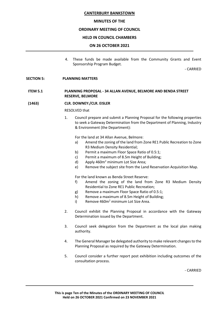#### **MINUTES OF THE**

#### **ORDINARY MEETING OF COUNCIL**

#### **HELD IN COUNCIL CHAMBERS**

#### **ON 26 OCTOBER 2021**

4. These funds be made available from the Community Grants and Event Sponsorship Program Budget.

- CARRIED

#### **SECTION 5: PLANNING MATTERS**

#### **ITEM 5.1 PLANNING PROPOSAL - 34 ALLAN AVENUE, BELMORE AND BENDA STREET RESERVE, BELMORE**

**(1463) CLR. DOWNEY:/CLR. EISLER**

RESOLVED that

1. Council prepare and submit a Planning Proposal for the following properties to seek a Gateway Determination from the Department of Planning, Industry & Environment (the Department):

For the land at 34 Allan Avenue, Belmore:

- a) Amend the zoning of the land from Zone RE1 Public Recreation to Zone R3 Medium Density Residential;
- b) Permit a maximum Floor Space Ratio of 0.5:1;
- c) Permit a maximum of 8.5m Height of Building;
- d) Apply  $460m^2$  minimum Lot Size Area;
- e) Remove the subject site from the Land Reservation Acquisition Map.

For the land known as Benda Street Reserve:

- f) Amend the zoning of the land from Zone R3 Medium Density Residential to Zone RE1 Public Recreation;
- g) Remove a maximum Floor Space Ratio of 0.5:1;
- h) Remove a maximum of 8.5m Height of Building;
- i) Remove  $460m<sup>2</sup>$  minimum Lot Size Area.
- 2. Council exhibit the Planning Proposal in accordance with the Gateway Determination issued by the Department.
- 3. Council seek delegation from the Department as the local plan making authority.
- 4. The General Manager be delegated authority to make relevant changes to the Planning Proposal as required by the Gateway Determination.
- 5. Council consider a further report post exhibition including outcomes of the consultation process.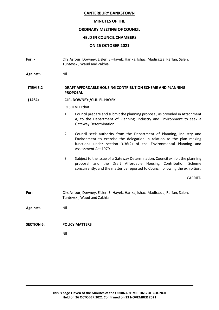#### **MINUTES OF THE**

#### **ORDINARY MEETING OF COUNCIL**

#### **HELD IN COUNCIL CHAMBERS**

#### **ON 26 OCTOBER 2021**

**For: -** Clrs Asfour, Downey, Eisler, El-Hayek, Harika, Ishac, Madirazza, Raffan, Saleh, Tuntevski, Waud and Zakhia **Against:-** Nil **ITEM 5.2 DRAFT AFFORDABLE HOUSING CONTRIBUTION SCHEME AND PLANNING PROPOSAL (1464) CLR. DOWNEY:/CLR. EL-HAYEK** RESOLVED that 1. Council prepare and submit the planning proposal, as provided in Attachment A, to the Department of Planning, Industry and Environment to seek a Gateway Determination. 2. Council seek authority from the Department of Planning, Industry and Environment to exercise the delegation in relation to the plan making functions under section 3.36(2) of the Environmental Planning and Assessment Act 1979. 3. Subject to the issue of a Gateway Determination, Council exhibit the planning proposal and the Draft Affordable Housing Contribution Scheme concurrently, and the matter be reported to Council following the exhibition. - CARRIED **For:-** Clrs Asfour, Downey, Eisler, El-Hayek, Harika, Ishac, Madirazza, Raffan, Saleh, Tuntevski, Waud and Zakhia **Against:-** Nil **SECTION 6: POLICY MATTERS**  Nil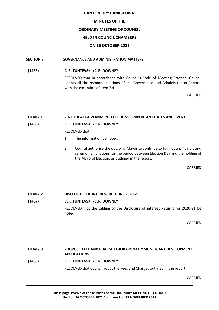#### **MINUTES OF THE**

#### **ORDINARY MEETING OF COUNCIL**

#### **HELD IN COUNCIL CHAMBERS**

#### **ON 26 OCTOBER 2021**

#### **SECTION 7: GOVERNANCE AND ADMINISTRATION MATTERS**

#### **(1465) CLR. TUNTEVSKI:/CLR. DOWNEY**

RESOLVED that in accordance with Council's Code of Meeting Practice, Council adopts all the recommendations of the Governance and Administration Reports with the exception of Item 7.4.

- CARRIED

#### **ITEM 7.1 2021 LOCAL GOVERNMENT ELECTIONS - IMPORTANT DATES AND EVENTS**

#### **(1466) CLR. TUNTEVSKI:/CLR. DOWNEY**

RESOLVED that

- 1. The information be noted.
- 2. Council authorise the outgoing Mayor to continue to fulfil Council's civic and ceremonial functions for the period between Election Day and the holding of the Mayoral Election, as outlined in the report.

- CARRIED

**ITEM 7.2 DISCLOSURE OF INTEREST RETURNS 2020-21**

#### **(1467) CLR. TUNTEVSKI:/CLR. DOWNEY**

RESOLVED that the tabling of the Disclosure of interest Returns for 2020-21 be noted.

- CARRIED

## **ITEM 7.3 PROPOSED FEE AND CHARGE FOR REGIONALLY SIGNIFICANT DEVELOPMENT APPLICATIONS (1468) CLR. TUNTEVSKI:/CLR. DOWNEY** RESOLVED that Council adopt the Fees and Charges outlined in the report.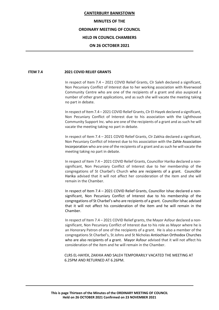#### **MINUTES OF THE**

#### **ORDINARY MEETING OF COUNCIL**

#### **HELD IN COUNCIL CHAMBERS**

#### **ON 26 OCTOBER 2021**

#### **ITEM 7.4 2021 COVID RELIEF GRANTS**

In respect of Item 7.4 – 2021 COVID Relief Grants, Clr Saleh declared a significant, Non Pecuniary Conflict of Interest due to her working association with Riverwood Community Centre who are one of the recipients of a grant and also auspiced a number of other grant applications, and as such she will vacate the meeting taking no part in debate.

In respect of Item 7.4 – 2021 COVID Relief Grants, Clr El-Hayek declared a significant, Non Pecuniary Conflict of Interest due to his association with the Lighthouse Community Support Inc. who are one of the recipients of a grant and as such he will vacate the meeting taking no part in debate.

In respect of Item 7.4 – 2021 COVID Relief Grants, Clr Zakhia declared a significant, Non Pecuniary Conflict of Interest due to his association with the Zahle Association Incorporation who are one of the recipients of a grant and as such he will vacate the meeting taking no part in debate.

In respect of Item 7.4 – 2021 COVID Relief Grants, Councillor Harika declared a nonsignificant, Non Pecuniary Conflict of Interest due to her membership of the congregations of St Charbel's Church who are recipients of a grant. Councillor Harika advised that it will not affect her consideration of the item and she will remain in the Chamber.

In respect of Item 7.4 – 2021 COVID Relief Grants, Councillor Ishac declared a nonsignificant, Non Pecuniary Conflict of Interest due to his membership of the congregations of St Charbel's who are recipients of a grant. Councillor Ishac advised that it will not affect his consideration of the item and he will remain in the Chamber.

In respect of Item 7.4 – 2021 COVID Relief grants, the Mayor Asfour declared a nonsignificant, Non Pecuniary Conflict of Interest due to his role as Mayor where he is an Honorary Patron of one of the recipients of a grant. He is also a member of the congregations St Charbel's, St Johns and St Nicholas Antiochian Orthodox Churches who are also recipients of a grant. Mayor Asfour advised that it will not affect his consideration of the item and he will remain in the Chamber.

CLRS EL-HAYEK, ZAKHIA AND SALEH TEMPORARILY VACATED THE MEETING AT 6.25PM AND RETURNED AT 6.26PM.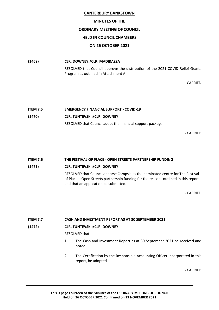#### **MINUTES OF THE**

#### **ORDINARY MEETING OF COUNCIL**

#### **HELD IN COUNCIL CHAMBERS**

#### **ON 26 OCTOBER 2021**

#### **(1469) CLR. DOWNEY:/CLR. MADIRAZZA**

RESOLVED that Council approve the distribution of the 2021 COVID Relief Grants Program as outlined in Attachment A.

- CARRIED

# **ITEM 7.5 EMERGENCY FINANCIAL SUPPORT - COVID-19 (1470) CLR. TUNTEVSKI:/CLR. DOWNEY** RESOLVED that Council adopt the financial support package.

- CARRIED

#### **ITEM 7.6 THE FESTIVAL OF PLACE - OPEN STREETS PARTNERSHIP FUNDING**

#### **(1471) CLR. TUNTEVSKI:/CLR. DOWNEY**

RESOLVED that Council endorse Campsie as the nominated centre for The Festival of Place – Open Streets partnership funding for the reasons outlined in this report and that an application be submitted.

- CARRIED

#### **ITEM 7.7 CASH AND INVESTMENT REPORT AS AT 30 SEPTEMBER 2021**

#### **(1472) CLR. TUNTEVSKI:/CLR. DOWNEY**

RESOLVED that

- 1. The Cash and Investment Report as at 30 September 2021 be received and noted.
- 2. The Certification by the Responsible Accounting Officer incorporated in this report, be adopted.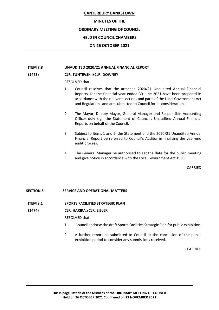#### **MINUTES OF THE**

#### **ORDINARY MEETING OF COUNCIL**

#### **HELD IN COUNCIL CHAMBERS**

#### **ON 26 OCTOBER 2021**

#### **ITEM 7.8 UNAUDITED 2020/21 ANNUAL FINANCIAL REPORT**

#### **(1473) CLR. TUNTEVSKI:/CLR. DOWNEY**

RESOLVED that

- 1. Council resolves that the attached 2020/21 Unaudited Annual Financial Reports, for the financial year ended 30 June 2021 have been prepared in accordance with the relevant sections and parts of the Local Government Act and Regulations and are submitted to Council for its consideration.
- 2. The Mayor, Deputy Mayor, General Manager and Responsible Accounting Officer duly sign the Statement of Council's Unaudited Annual Financial Reports on behalf of the Council.
- 3. Subject to Items 1 and 2, the Statement and the 2020/21 Unaudited Annual Financial Report be referred to Council's Auditor in finalising the year-end audit process.
- 4. The General Manager be authorised to set the date for the public meeting and give notice in accordance with the Local Government Act 1993.

- CARRIED

#### **SECTION 8: SERVICE AND OPERATIONAL MATTERS**

#### **ITEM 8.1 SPORTS FACILITIES STRATEGIC PLAN**

#### **(1474) CLR. HARIKA:/CLR. EISLER**

RESOLVED that

- 1. Council endorse the draft Sports Facilities Strategic Plan for public exhibition.
- 2. A further report be submitted to Council at the conclusion of the public exhibition period to consider any submissions received.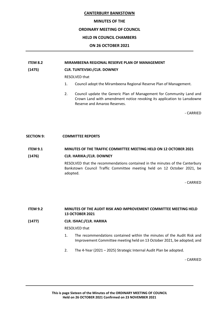#### **MINUTES OF THE**

#### **ORDINARY MEETING OF COUNCIL**

#### **HELD IN COUNCIL CHAMBERS**

#### **ON 26 OCTOBER 2021**

#### **ITEM 8.2 MIRAMBEENA REGIONAL RESERVE PLAN OF MANAGEMENT**

#### **(1475) CLR. TUNTEVSKI:/CLR. DOWNEY**

RESOLVED that

- 1. Council adopt the Mirambeena Regional Reserve Plan of Management.
- 2. Council update the Generic Plan of Management for Community Land and Crown Land with amendment notice revoking its application to Lansdowne Reserve and Amaroo Reserves.

- CARRIED

#### **SECTION 9: COMMITTEE REPORTS**

#### **ITEM 9.1 MINUTES OF THE TRAFFIC COMMITTEE MEETING HELD ON 12 OCTOBER 2021**

#### **(1476) CLR. HARIKA:/CLR. DOWNEY**

RESOLVED that the recommendations contained in the minutes of the Canterbury Bankstown Council Traffic Committee meeting held on 12 October 2021, be adopted.

- CARRIED

**ITEM 9.2 MINUTES OF THE AUDIT RISK AND IMPROVEMENT COMMITTEE MEETING HELD 13 OCTOBER 2021**

**(1477) CLR. ISHAC:/CLR. HARIKA**

RESOLVED that

- 1. The recommendations contained within the minutes of the Audit Risk and Improvement Committee meeting held on 13 October 2021, be adopted; and
- 2. The 4-Year (2021 2025) Strategic Internal Audit Plan be adopted.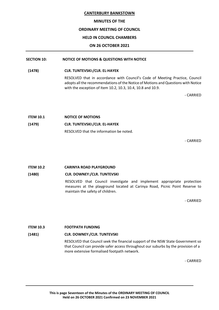#### **MINUTES OF THE**

#### **ORDINARY MEETING OF COUNCIL**

#### **HELD IN COUNCIL CHAMBERS**

#### **ON 26 OCTOBER 2021**

#### **SECTION 10: NOTICE OF MOTIONS & QUESTIONS WITH NOTICE**

**(1478) CLR. TUNTEVSKI:/CLR. EL-HAYEK**

RESOLVED that in accordance with Council's Code of Meeting Practice, Council adopts all the recommendations of the Notice of Motions and Questions with Notice with the exception of Item 10.2, 10.3, 10.4, 10.8 and 10.9.

- CARRIED

| <b>ITEM 10.1</b> | <b>NOTICE OF MOTIONS</b>                |
|------------------|-----------------------------------------|
| (1479)           | <b>CLR. TUNTEVSKI:/CLR. EL-HAYEK</b>    |
|                  | RESOLVED that the information be noted. |

- CARRIED

#### **ITEM 10.2 CARINYA ROAD PLAYGROUND**

#### **(1480) CLR. DOWNEY:/CLR. TUNTEVSKI**

RESOLVED that Council investigate and implement appropriate protection measures at the playground located at Carinya Road, Picnic Point Reserve to maintain the safety of children.

- CARRIED

#### **ITEM 10.3 FOOTPATH FUNDING**

#### **(1481) CLR. DOWNEY:/CLR. TUNTEVSKI**

RESOLVED that Council seek the financial support of the NSW State Government so that Council can provide safer access throughout our suburbs by the provision of a more extensive formalised footpath network.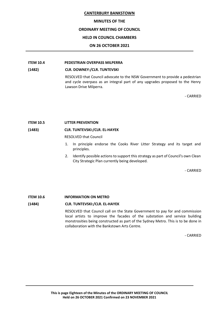#### **MINUTES OF THE**

#### **ORDINARY MEETING OF COUNCIL**

#### **HELD IN COUNCIL CHAMBERS**

#### **ON 26 OCTOBER 2021**

#### **ITEM 10.4 PEDESTRIAN OVERPASS MILPERRA**

#### **(1482) CLR. DOWNEY:/CLR. TUNTEVSKI**

RESOLVED that Council advocate to the NSW Government to provide a pedestrian and cycle overpass as an integral part of any upgrades proposed to the Henry Lawson Drive Milperra.

- CARRIED

#### **ITEM 10.5 LITTER PREVENTION**

#### **(1483) CLR. TUNTEVSKI:/CLR. EL-HAYEK**

RESOLVED that Council

- 1. In principle endorse the Cooks River Litter Strategy and its target and principles.
- 2. Identify possible actions to support this strategy as part of Council's own Clean City Strategic Plan currently being developed.

- CARRIED

#### **ITEM 10.6 INFORMATION ON METRO**

#### **(1484) CLR. TUNTEVSKI:/CLR. EL-HAYEK**

RESOLVED that Council call on the State Government to pay for and commission local artists to improve the facades of the substation and service building monstrosities being constructed as part of the Sydney Metro. This is to be done in collaboration with the Bankstown Arts Centre.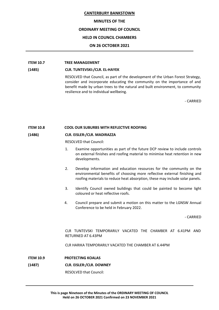#### **MINUTES OF THE**

#### **ORDINARY MEETING OF COUNCIL**

#### **HELD IN COUNCIL CHAMBERS**

#### **ON 26 OCTOBER 2021**

#### **ITEM 10.7 TREE MANAGEMENT**

#### **(1485) CLR. TUNTEVSKI:/CLR. EL-HAYEK**

RESOLVED that Council, as part of the development of the Urban Forest Strategy, consider and incorporate educating the community on the importance of and benefit made by urban trees to the natural and built environment, to community resilience and to individual wellbeing.

- CARRIED

#### **ITEM 10.8 COOL OUR SUBURBS WITH REFLECTIVE ROOFING**

#### **(1486) CLR. EISLER:/CLR. MADIRAZZA**

RESOLVED that Council:

- 1. Examine opportunities as part of the future DCP review to include controls on external finishes and roofing material to minimise heat retention in new developments.
- 2. Develop information and education resources for the community on the environmental benefits of choosing more reflective external finishing and roofing materials to reduce heat absorption, these may include solar panels.
- 3. Identify Council owned buildings that could be painted to become light coloured or heat reflective roofs.
- 4. Council prepare and submit a motion on this matter to the LGNSW Annual Conference to be held in February 2022.

- CARRIED

CLR TUNTEVSKI TEMPORARILY VACATED THE CHAMBER AT 6.41PM AND RETURNED AT 6.43PM

CLR HARIKA TEMPORARILY VACATED THE CHAMBER AT 6.44PM

- **ITEM 10.9 PROTECTING KOALAS**
- **(1487) CLR. EISLER:/CLR. DOWNEY**

RESOLVED that Council: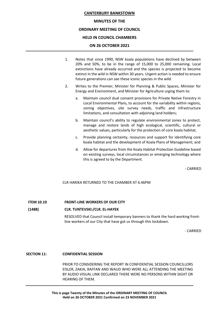#### **MINUTES OF THE**

#### **ORDINARY MEETING OF COUNCIL**

#### **HELD IN COUNCIL CHAMBERS**

#### **ON 26 OCTOBER 2021**

- 1. Notes that since 1990, NSW koala populations have declined by between 20% and 50%, to be in the range of 15,000 to 25,000 remaining. Local extinctions have already occurred and the species is projected to become extinct in the wild in NSW within 30 years. Urgent action is needed to ensure future generations can see these iconic species in the wild.
- 2. Writes to the Premier, Minister for Planning & Public Spaces, Minister for Energy and Environment, and Minister for Agriculture urging them to:
	- a. Maintain council dual consent provisions for Private Native Forestry in Local Environmental Plans, to account for the variability within regions, zoning objectives, site survey needs, traffic and infrastructure limitations, and consultation with adjoining land holders;
	- b. Maintain council's ability to regulate environmental zones to protect, manage and restore lands of high ecological, scientific, cultural or aesthetic values, particularly for the protection of core koala habitat;
	- c. Provide planning certainty, resources and support for identifying core koala habitat and the development of Koala Plans of Management; and
	- d. Allow for departures from the Koala Habitat Protection Guideline based on existing surveys, local circumstances or emerging technology where this is agreed to by the Department.

- CARRIED

CLR HARIKA RETURNED TO THE CHAMBER AT 6.46PM

#### **ITEM 10.10 FRONT-LINE WORKERS OF OUR CITY**

#### **(1488) CLR. TUNTEVSKI:/CLR. EL-HAYEK**

RESOLVED that Council install temporary banners to thank the hard working frontline workers of our City that have got us through this lockdown.

- CARRIED

#### **SECTION 11: CONFIDENTIAL SESSION**

PRIOR TO CONSIDERING THE REPORT IN CONFIDENTIAL SESSION COUNCILLORS EISLER, ZAKIA, RAFFAN AND WAUD WHO WERE ALL ATTENDING THE MEETING BY AUDIO VISUAL LINK DECLARED THERE WERE NO PERSONS WITHIN SIGHT OR HEARING OF THEM.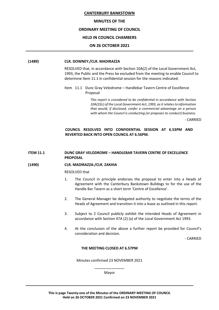#### **MINUTES OF THE**

#### **ORDINARY MEETING OF COUNCIL**

#### **HELD IN COUNCIL CHAMBERS**

#### **ON 26 OCTOBER 2021**

#### **(1489) CLR. DOWNEY:/CLR. MADIRAZZA**

RESOLVED that, in accordance with Section 10A(2) of the Local Government Act, 1993, the Public and the Press be excluded from the meeting to enable Council to determine Item 11.1 in confidential session for the reasons indicated:

Item 11.1 Dunc Gray Velodrome – Handlebar Tavern Centre of Excellence Proposal

> *This report is considered to be confidential in accordance with Section 10A(2)(c) of the Local Government Act, 1993, as it relates to information that would, if disclosed, confer a commercial advantage on a person with whom the Council is conducting (or proposes to conduct) business.*

> > - CARRIED

#### **COUNCIL RESOLVED INTO CONFIDENTIAL SESSION AT 6.53PM AND REVERTED BACK INTO OPEN COUNCIL AT 6.56PM.**

#### **ITEM 11.1 DUNC GRAY VELODROME – HANDLEBAR TAVERN CENTRE OF EXCELLENCE PROPOSAL**

#### **(1490) CLR. MADIRAZZA:/CLR. ZAKHIA**

#### RESOLVED that

- 1. The Council in principle endorses the proposal to enter into a Heads of Agreement with the Canterbury Bankstown Bulldogs to for the use of the Handle Bar Tavern as a short term 'Centre of Excellence'.
- 2. The General Manager be delegated authority to negotiate the terms of the Heads of Agreement and transition it into a lease as outlined in this report.
- 3. Subject to 2 Council publicly exhibit the intended Heads of Agreement in accordance with Section 47A (2) (a) of the Local Government Act 1993.
- 4. At the conclusion of the above a further report be provided for Council's consideration and decision.

- CARRIED

#### **THE MEETING CLOSED AT 6.57PM**

Minutes confirmed 23 NOVEMBER 2021

**………………………….** Mayor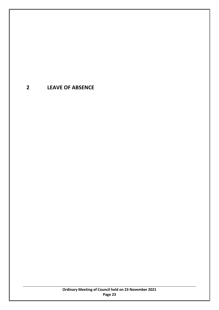# <span id="page-22-0"></span>**2 LEAVE OF ABSENCE**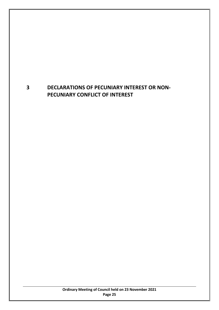# <span id="page-24-0"></span>**3 DECLARATIONS OF PECUNIARY INTEREST OR NON-PECUNIARY CONFLICT OF INTEREST**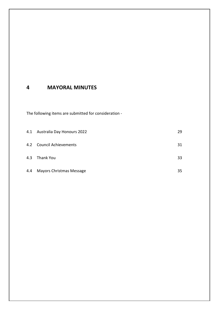## <span id="page-26-0"></span>**4 MAYORAL MINUTES**

The following items are submitted for consideration -

|     | 4.1 Australia Day Honours 2022 | 29 |
|-----|--------------------------------|----|
|     | 4.2 Council Achievements       | 31 |
| 4.3 | Thank You                      | 33 |
| 4.4 | Mayors Christmas Message       | 35 |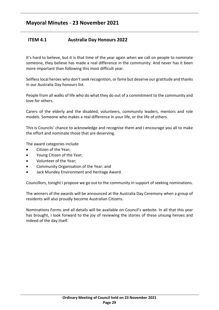## <span id="page-28-0"></span>**ITEM 4.1 Australia Day Honours 2022**

It's hard to believe, but it is that time of the year again when we call on people to nominate someone, they believe has made a real difference in the community. And never has it been more important than following this most difficult year.

Selfless local heroes who don't seek recognition, or fame but deserve our gratitude and thanks in our Australia Day honours list.

People from all walks of life who do what they do out of a commitment to the community and love for others.

Carers of the elderly and the disabled, volunteers, community leaders, mentors and role models. Someone who makes a real difference in your life, or the life of others.

This is Councils' chance to acknowledge and recognise them and I encourage you all to make the effort and nominate those that are deserving.

The award categories include

- Citizen of the Year;
- Young Citizen of the Year;
- Volunteer of the Year;
- Community Organisation of the Year; and
- Jack Mundey Environment and Heritage Award.

Councillors, tonight I propose we go out to the community in support of seeking nominations.

The winners of the awards will be announced at the Australia Day Ceremony when a group of residents will also proudly become Australian Citizens.

Nominations Forms and all details will be available on Council's website. In all that this year has brought, I look forward to the joy of reviewing the stories of these unsung heroes and indeed of the day itself.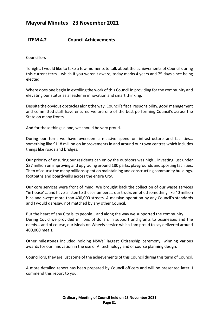## <span id="page-30-0"></span>**ITEM 4.2 Council Achievements**

**Councillors** 

Tonight, I would like to take a few moments to talk about the achievements of Council during this current term… which If you weren't aware, today marks 4 years and 75 days since being elected.

Where does one begin in extolling the work of this Council in providing for the community and elevating our status as a leader in innovation and smart thinking.

Despite the obvious obstacles along the way, Council's fiscal responsibility, good management and committed staff have ensured we are one of the best performing Council's across the State on many fronts.

And for these things alone, we should be very proud.

During our term we have overseen a massive spend on infrastructure and facilities… something like \$118 million on improvements in and around our town centres which includes things like roads and bridges.

Our priority of ensuring our residents can enjoy the outdoors was high… investing just under \$37 million on improving and upgrading around 180 parks, playgrounds and sporting facilities. Then of course the many millions spent on maintaining and constructing community buildings, footpaths and boardwalks across the entire City.

Our core services were front of mind. We brought back the collection of our waste services "in house"… and have a listen to these numbers… our trucks emptied something like 40 million bins and swept more than 400,000 streets. A massive operation by any Council's standards and I would daresay, not matched by any other Council.

But the heart of any City is its people… and along the way we supported the community. During Covid we provided millions of dollars in support and grants to businesses and the needy… and of course, our Meals on Wheels service which I am proud to say delivered around 400,000 meals.

Other milestones included holding NSWs' largest Citizenship ceremony, winning various awards for our innovation in the use of AI technology and of course planning design.

Councillors, they are just some of the achievements of this Council during this term of Council.

A more detailed report has been prepared by Council officers and will be presented later. I commend this report to you.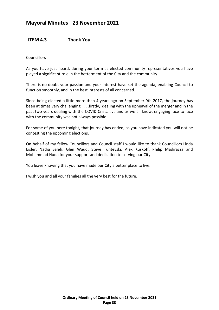# **Mayoral Minutes** - **23 November 2021**

## <span id="page-32-0"></span>**ITEM 4.3 Thank You**

#### **Councillors**

As you have just heard, during your term as elected community representatives you have played a significant role in the betterment of the City and the community.

There is no doubt your passion and your interest have set the agenda, enabling Council to function smoothly, and in the best interests of all concerned.

Since being elected a little more than 4 years ago on September 9th 2017, the journey has been at times very challenging . . . .firstly, dealing with the upheaval of the merger and in the past two years dealing with the COVID Crisis. . . . and as we all know, engaging face to face with the community was not always possible.

For some of you here tonight, that journey has ended, as you have indicated you will not be contesting the upcoming elections.

On behalf of my fellow Councillors and Council staff I would like to thank Councillors Linda Eisler, Nadia Saleh, Glen Waud, Steve Tuntevski, Alex Kuskoff, Philip Madirazza and Mohammad Huda for your support and dedication to serving our City.

You leave knowing that you have made our City a better place to live.

I wish you and all your families all the very best for the future.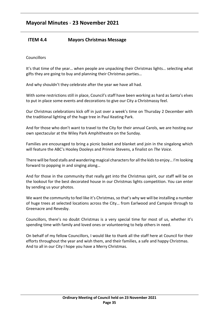## <span id="page-34-0"></span>**ITEM 4.4 Mayors Christmas Message**

**Councillors** 

It's that time of the year… when people are unpacking their Christmas lights… selecting what gifts they are going to buy and planning their Christmas parties…

And why shouldn't they celebrate after the year we have all had.

With some restrictions still in place, Council's staff have been working as hard as Santa's elves to put in place some events and decorations to give our City a Christmassy feel.

Our Christmas celebrations kick off in just over a week's time on Thursday 2 December with the traditional lighting of the huge tree in Paul Keating Park.

And for those who don't want to travel to the City for their annual Carols, we are hosting our own spectacular at the Wiley Park Amphitheatre on the Sunday.

Families are encouraged to bring a picnic basket and blanket and join in the singalong which will feature the ABC's Hooley Dooleys and Prinnie Stevens, a finalist on *The Voice*.

There will be food stalls and wandering magical characters for all the kids to enjoy… I'm looking forward to popping in and singing along…

And for those in the community that really get into the Christmas spirit, our staff will be on the lookout for the best decorated house in our Christmas lights competition. You can enter by sending us your photos.

We want the community to feel like it's Christmas, so that's why we will be installing a number of huge trees at selected locations across the City… from Earlwood and Campsie through to Greenacre and Revesby.

Councillors, there's no doubt Christmas is a very special time for most of us, whether it's spending time with family and loved ones or volunteering to help others in need.

On behalf of my fellow Councillors, I would like to thank all the staff here at Council for their efforts throughout the year and wish them, and their families, a safe and happy Christmas. And to all in our City I hope you have a Merry Christmas.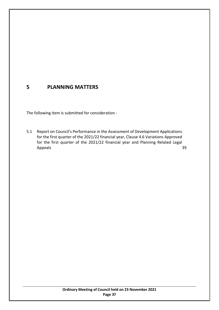# **5 PLANNING MATTERS**

The following item is submitted for consideration -

5.1 Report on Council's Performance in the Assessment of Development Applications for the first quarter of the 2021/22 financial year, Clause 4.6 Variations Approved for the first quarter of the 2021/22 financial year and Planning Related Legal Appeals [39](#page-38-0)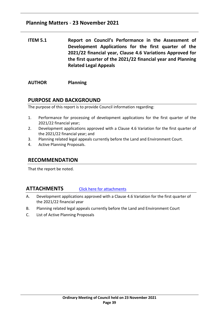## **Planning Matters** - **23 November 2021**

<span id="page-38-0"></span>**ITEM 5.1 Report on Council's Performance in the Assessment of Development Applications for the first quarter of the 2021/22 financial year, Clause 4.6 Variations Approved for the first quarter of the 2021/22 financial year and Planning Related Legal Appeals**

**AUTHOR Planning**

## **PURPOSE AND BACKGROUND**

The purpose of this report is to provide Council information regarding:

- 1. Performance for processing of development applications for the first quarter of the 2021/22 financial year;
- 2. Development applications approved with a Clause 4.6 Variation for the first quarter of the 2021/22 financial year; and
- 3. Planning related legal appeals currently before the Land and Environment Court.
- 4. Active Planning Proposals.

## **RECOMMENDATION**

That the report be noted.

## **ATTACHMENTS** [Click here for attachments](http://webdocs.bankstown.nsw.gov.au/api/publish?documentPath=aHR0cDovL2lzaGFyZS9zaXRlcy9Hb3Zlcm5hbmNlL0NvdW5jaWwgTWVldGluZ3MvT3JkaW5hcnkgTWVldGluZ3MvMjMuMTEuMjEgTGlua2VkIEF0dGFjaG1lbnQgLSBSZXBvcnQgb24gREEncywgVmFyaWF0aW9ucywgTGVnYWwgQXBwZWFscy5wZGY=&title=23.11.21%20Linked%20Attachment%20-%20Report%20on%20DA)

- A. Development applications approved with a Clause 4.6 Variation for the first quarter of the 2021/22 financial year
- B. Planning related legal appeals currently before the Land and Environment Court
- C. List of Active Planning Proposals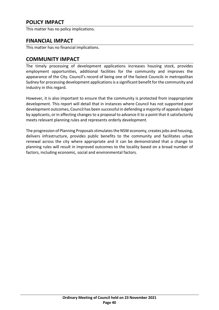This matter has no policy implications.

## **FINANCIAL IMPACT**

This matter has no financial implications.

## **COMMUNITY IMPACT**

The timely processing of development applications increases housing stock, provides employment opportunities, additional facilities for the community and improves the appearance of the City. Council's record of being one of the fastest Councils in metropolitan Sydney for processing development applications is a significant benefit for the community and industry in this regard.

However, it is also important to ensure that the community is protected from inappropriate development. This report will detail that in instances where Council has not supported poor development outcomes, Council has been successful in defending a majority of appeals lodged by applicants, or in affecting changes to a proposal to advance it to a point that it satisfactorily meets relevant planning rules and represents orderly development.

The progression of Planning Proposals stimulates the NSW economy, creates jobs and housing, delivers infrastructure, provides public benefits to the community and facilitates urban renewal across the city where appropriate and it can be demonstrated that a change to planning rules will result in improved outcomes to the locality based on a broad number of factors, including economic, social and environmental factors.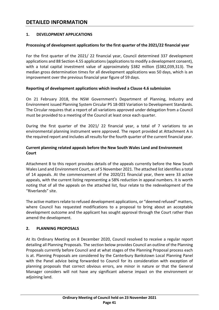# **DETAILED INFORMATION**

#### **1. DEVELOPMENT APPLICATIONS**

#### **Processing of development applications for the first quarter of the 2021/22 financial year**

For the first quarter of the 2021/ 22 financial year, Council determined 337 development applications and 88 Section 4.55 applications (applications to modify a development consent), with a total capital investment value of approximately \$382 million (\$382,039,313). The median gross determination times for all development applications was 50 days, which is an improvement over the previous financial year figure of 59 days.

#### **Reporting of development applications which involved a Clause 4.6 submission**

On 21 February 2018, the NSW Government's Department of Planning, Industry and Environment issued Planning System Circular PS 18-003 Variation to Development Standards. The Circular requires that a report of all variations approved under delegation from a Council must be provided to a meeting of the Council at least once each quarter.

During the first quarter of the 2021/ 22 financial year, a total of 7 variations to an environmental planning instrument were approved. The report provided at Attachment A is the required report and includes all results for the fourth quarter of the current financial year.

#### **Current planning related appeals before the New South Wales Land and Environment Court**

Attachment B to this report provides details of the appeals currently before the New South Wales Land and Environment Court, as of 5 November 2021. The attached list identifies a total of 14 appeals. At the commencement of the 2020/21 financial year, there were 33 active appeals, with the current listing representing a 58% reduction in appeal numbers. It is worth noting that of all the appeals on the attached list, four relate to the redevelopment of the "Riverlands" site.

The active matters relate to refused development applications, or "deemed refused" matters, where Council has requested modifications to a proposal to bring about an acceptable development outcome and the applicant has sought approval through the Court rather than amend the development.

#### **2. PLANNING PROPOSALS**

At its Ordinary Meeting on 8 December 2020, Council resolved to receive a regular report detailing all Planning Proposals. The section below provides Council an outline of the Planning Proposals currently before Council and at what stages of the Planning Proposal process each is at. Planning Proposals are considered by the Canterbury Bankstown Local Planning Panel with the Panel advice being forwarded to Council for its consideration with exception of planning proposals that correct obvious errors, are minor in nature or that the General Manager considers will not have any significant adverse impact on the environment or adjoining land.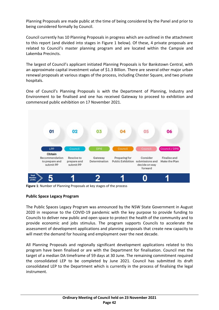Planning Proposals are made public at the time of being considered by the Panel and prior to being considered formally by Council.

Council currently has 10 Planning Proposals in progress which are outlined in the attachment to this report (and divided into stages in Figure 1 below). Of these, 4 private proposals are related to Council's master planning program and are located within the Campsie and Lakemba Precincts.

The largest of Council's applicant initiated Planning Proposals is for Bankstown Central, with an approximate capital investment value of \$1.3 Billion. There are several other major urban renewal proposals at various stages of the process, including Chester Square, and two private hospitals.

One of Council's Planning Proposals is with the Department of Planning, Industry and Environment to be finalised and one has received Gateway to proceed to exhibition and commenced public exhibition on 17 November 2021.



**Figure 1**: Number of Planning Proposals at key stages of the process

#### **Public Space Legacy Program**

The Public Spaces Legacy Program was announced by the NSW State Government in August 2020 in response to the COVID-19 pandemic with the key purpose to provide funding to Councils to deliver new public and open space to protect the health of the community and to provide economic and jobs stimulus. The program supports Councils to accelerate the assessment of development applications and planning proposals that create new capacity to will meet the demand for housing and employment over the next decade.

All Planning Proposals and regionally significant development applications related to this program have been finalised or are with the Department for finalisation. Council met the target of a median DA timeframe of 59 days at 30 June. The remaining commitment required the consolidated LEP to be completed by June 2021. Council has submitted its draft consolidated LEP to the Department which is currently in the process of finalising the legal instrument.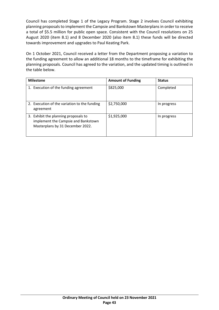Council has completed Stage 1 of the Legacy Program. Stage 2 involves Council exhibiting planning proposals to implement the Campsie and Bankstown Masterplans in order to receive a total of \$5.5 million for public open space. Consistent with the Council resolutions on 25 August 2020 (item 8.1) and 8 December 2020 (also item 8.1) these funds will be directed towards improvement and upgrades to Paul Keating Park.

On 1 October 2021, Council received a letter from the Department proposing a variation to the funding agreement to allow an additional 18 months to the timeframe for exhibiting the planning proposals. Council has agreed to the variation, and the updated timing is outlined in the table below.

| <b>Milestone</b>                                                                                                | <b>Amount of Funding</b> | <b>Status</b> |
|-----------------------------------------------------------------------------------------------------------------|--------------------------|---------------|
| 1. Execution of the funding agreement                                                                           | \$825,000                | Completed     |
| 2. Execution of the variation to the funding<br>agreement                                                       | \$2,750,000              | In progress   |
| 3. Exhibit the planning proposals to<br>implement the Campsie and Bankstown<br>Masterplans by 31 December 2022. | \$1,925,000              | In progress   |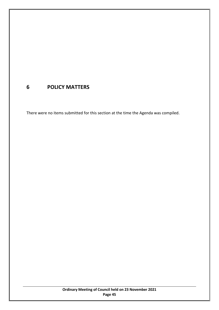# **6 POLICY MATTERS**

There were no items submitted for this section at the time the Agenda was compiled.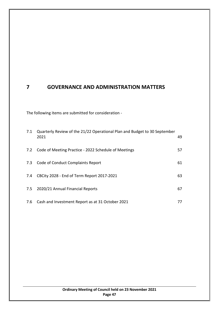# **7 GOVERNANCE AND ADMINISTRATION MATTERS**

The following items are submitted for consideration -

| 7.1 | Quarterly Review of the 21/22 Operational Plan and Budget to 30 September<br>2021 | 49 |
|-----|-----------------------------------------------------------------------------------|----|
| 7.2 | Code of Meeting Practice - 2022 Schedule of Meetings                              | 57 |
| 7.3 | Code of Conduct Complaints Report                                                 | 61 |
| 7.4 | CBCity 2028 - End of Term Report 2017-2021                                        | 63 |
| 7.5 | 2020/21 Annual Financial Reports                                                  | 67 |
| 7.6 | Cash and Investment Report as at 31 October 2021                                  | 77 |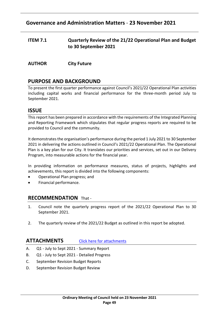# **Governance and Administration Matters** - **23 November 2021**

- <span id="page-48-0"></span>**ITEM 7.1 Quarterly Review of the 21/22 Operational Plan and Budget to 30 September 2021**
- **AUTHOR City Future**

## **PURPOSE AND BACKGROUND**

To present the first quarter performance against Council's 2021/22 Operational Plan activities including capital works and financial performance for the three-month period July to September 2021.

## **ISSUE**

This report has been prepared in accordance with the requirements of the Integrated Planning and Reporting Framework which stipulates that regular progress reports are required to be provided to Council and the community.

It demonstrates the organisation's performance during the period 1 July 2021 to 30 September 2021 in delivering the actions outlined in Council's 2021/22 Operational Plan. The Operational Plan is a key plan for our City. It translates our priorities and services, set out in our Delivery Program, into measurable actions for the financial year.

In providing information on performance measures, status of projects, highlights and achievements, this report is divided into the following components:

- Operational Plan progress; and
- Financial performance.

#### **RECOMMENDATION** That -

- 1. Council note the quarterly progress report of the 2021/22 Operational Plan to 30 September 2021.
- 2. The quarterly review of the 2021/22 Budget as outlined in this report be adopted.

#### **ATTACHMENTS** [Click here for attachments](http://webdocs.bankstown.nsw.gov.au/api/publish?documentPath=aHR0cDovL2lzaGFyZS9zaXRlcy9Hb3Zlcm5hbmNlL0NvdW5jaWwgTWVldGluZ3MvT3JkaW5hcnkgTWVldGluZ3MvMjMuMTEuMjEgTGlua2VkIEF0dGFjaG1lbnQgLSBRdWFydGVybHkgUmV2aWV3IG9mIHRoZSBPcGVyYXRpb25hbCBQbGFuIGFuZCBCdWRnZXQucGRm&title=23.11.21%20Linked%20Attachment%20-%20Quarterly%20Review%20of%20the%20Operational%20Plan%20and%20Budget.pdf)

- A. Q1 July to Sept 2021 Summary Report
- B. Q1 July to Sept 2021 Detailed Progress
- C. September Revision Budget Reports
- D. September Revision Budget Review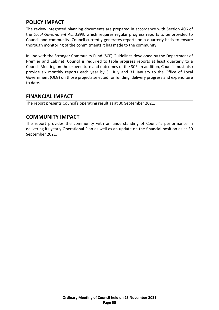The review integrated planning documents are prepared in accordance with Section 406 of the *Local Government Act 1993*, which requires regular progress reports to be provided to Council and community. Council currently generates reports on a quarterly basis to ensure thorough monitoring of the commitments it has made to the community.

In line with the Stronger Community Fund (SCF) Guidelines developed by the Department of Premier and Cabinet, Council is required to table progress reports at least quarterly to a Council Meeting on the expenditure and outcomes of the SCF. In addition, Council must also provide six monthly reports each year by 31 July and 31 January to the Office of Local Government (OLG) on those projects selected for funding, delivery progress and expenditure to date.

# **FINANCIAL IMPACT**

The report presents Council's operating result as at 30 September 2021.

# **COMMUNITY IMPACT**

The report provides the community with an understanding of Council's performance in delivering its yearly Operational Plan as well as an update on the financial position as at 30 September 2021.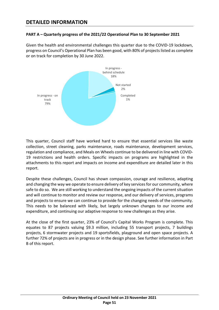# **DETAILED INFORMATION**

#### **PART A – Quarterly progress of the 2021/22 Operational Plan to 30 September 2021**

Given the health and environmental challenges this quarter due to the COVID-19 lockdown, progress on Council's Operational Plan has been good, with 80% of projects listed as complete or on track for completion by 30 June 2022.



This quarter, Council staff have worked hard to ensure that essential services like waste collection, street cleaning, parks maintenance, roads maintenance, development services, regulation and compliance, and Meals on Wheels continue to be delivered in line with COVID-19 restrictions and health orders. Specific impacts on programs are highlighted in the attachments to this report and impacts on income and expenditure are detailed later in this report.

Despite these challenges, Council has shown compassion, courage and resilience, adapting and changing the way we operate to ensure delivery of key services for our community, where safe to do so. We are still working to understand the ongoing impacts of the current situation and will continue to monitor and review our response, and our delivery of services, programs and projects to ensure we can continue to provide for the changing needs of the community. This needs to be balanced with likely, but largely unknown changes to our income and expenditure, and continuing our adaptive response to new challenges as they arise.

At the close of the first quarter, 23% of Council's Capital Works Program is complete. This equates to 87 projects valuing \$9.3 million, including 55 transport projects, 7 buildings projects, 6 stormwater projects and 19 sportsfields, playground and open space projects. A further 72% of projects are in progress or in the design phase. See further information in Part B of this report.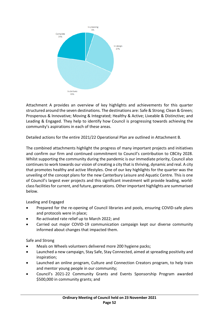

Attachment A provides an overview of key highlights and achievements for this quarter structured around the seven destinations. The destinations are: Safe & Strong; Clean & Green; Prosperous & Innovative; Moving & Integrated; Healthy & Active; Liveable & Distinctive; and Leading & Engaged. They help to identify how Council is progressing towards achieving the community's aspirations in each of these areas.

Detailed actions for the entire 2021/22 Operational Plan are outlined in Attachment B.

The combined attachments highlight the progress of many important projects and initiatives and confirm our firm and continued commitment to Council's contribution to CBCity 2028. Whilst supporting the community during the pandemic is our immediate priority, Council also continues to work towards our vision of creating a city that is thriving, dynamic and real. A city that promotes healthy and active lifestyles. One of our key highlights for the quarter was the unveiling of the concept plans for the new Canterbury Leisure and Aquatic Centre. This is one of Council's largest ever projects and this significant investment will provide leading, worldclass facilities for current, and future, generations. Other important highlights are summarised below.

Leading and Engaged

- Prepared for the re-opening of Council libraries and pools, ensuring COVID-safe plans and protocols were in place;
- Re-activated rate relief up to March 2022; and
- Carried out major COVID-19 communication campaign kept our diverse community informed about changes that impacted them.

Safe and Strong

- Meals on Wheels volunteers delivered more 200 hygiene packs;
- Launched a new campaign, Stay Safe, Stay Connected, aimed at spreading positivity and inspiration;
- Launched an online program, Culture and Connection Creators program, to help train and mentor young people in our community;
- Council's 2021-22 Community Grants and Events Sponsorship Program awarded \$500,000 in community grants; and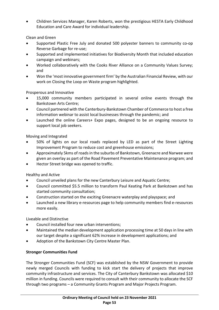• Children Services Manager, Karen Roberts, won the prestigious HESTA Early Childhood Education and Care Award for individual leadership.

Clean and Green

- Supported Plastic Free July and donated 500 polyester banners to community co-op Reverse Garbage for re-use;
- Supported and implemented initiatives for Biodiversity Month that included education campaign and webinars;
- Worked collaboratively with the Cooks River Alliance on a Community Values Survey; and
- Won the 'most innovative government firm' by the Australian Financial Review, with our work on Closing the Loop on Waste program highlighted.

Prosperous and Innovative

- 15,000 community members participated in several online events through the Bankstown Arts Centre;
- Council partnered with the Canterbury-Bankstown Chamber of Commerce to host a free information webinar to assist local businesses through the pandemic; and
- Launched the online Careers+ Expo pages, designed to be an ongoing resource to support local job seekers.

Moving and Integrated

- 50% of lights on our local roads replaced by LED as part of the Street Lighting Improvement Program to reduce cost and greenhouse emissions;
- Approximately 5kms of roads in the suburbs of Bankstown, Greenacre and Narwee were given an overlay as part of the Road Pavement Preventative Maintenance program; and
- Hector Street bridge was opened to traffic.

Healthy and Active

- Council unveiled plans for the new Canterbury Leisure and Aquatic Centre;
- Council committed \$5.5 million to transform Paul Keating Park at Bankstown and has started community consultation;
- Construction started on the exciting Greenacre waterplay and playspace; and
- Launched a new library e-resources page to help community members find e-resources more easily.

Liveable and Distinctive

- Council installed four new urban interventions;
- Maintained the median development application processing time at 50 days in line with our target despite a significant 62% increase in development applications; and
- Adoption of the Bankstown City Centre Master Plan.

## **Stronger Communities Fund**

The Stronger Communities Fund (SCF) was established by the NSW Government to provide newly merged Councils with funding to kick start the delivery of projects that improve community infrastructure and services. The City of Canterbury Bankstown was allocated \$10 million in funding. Councils were required to consult with their community to allocate the SCF through two programs – a Community Grants Program and Major Projects Program.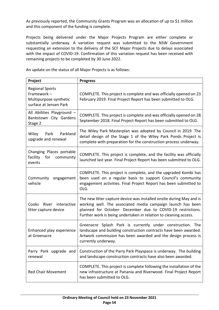As previously reported, the Community Grants Program was an allocation of up to \$1 million and this component of the funding is complete.

Projects being delivered under the Major Projects Program are either complete or substantially underway. A variation request was submitted to the NSW Government requesting an extension to the delivery of the SCF Major Projects due to delays associated with the impact of COVID-19. Confirmation of this variation request has been received with remaining projects to be completed by 30 June 2022.

An update on the status of all Major Projects is as follows:

| Project                                                                                  | <b>Progress</b>                                                                                                                                                                                                                                                        |
|------------------------------------------------------------------------------------------|------------------------------------------------------------------------------------------------------------------------------------------------------------------------------------------------------------------------------------------------------------------------|
| <b>Regional Sports</b><br>Framework-<br>Multipurpose synthetic<br>surface at Jensen Park | COMPLETE. This project is complete and was officially opened on 23<br>February 2019. Final Project Report has been submitted to OLG.                                                                                                                                   |
| All Abilities Playground -<br>Bankstown City Gardens<br>Stage 2                          | COMPLETE. This project is complete and was officially opened on 28<br>September 2018. Final Project Report has been submitted to OLG.                                                                                                                                  |
| Parkland<br>Wiley<br>Park<br>upgrade and renewal                                         | The Wiley Park Masterplan was adopted by Council in 2019. The<br>detail design of the Stage 1 of the Wiley Park Ponds Project is<br>complete with preparation for the construction process underway.                                                                   |
| Changing Places portable<br>facility<br>for<br>community<br>events                       | COMPLETE. This project is complete, and the facility was officially<br>launched last year. Final Project Report has been submitted to OLG.                                                                                                                             |
| Community<br>engagement<br>vehicle                                                       | COMPLETE. This project is complete, and the upgraded Kombi has<br>been used on a regular basis to support Council's community<br>engagement activities. Final Project Report has been submitted to<br>OLG.                                                             |
| Cooks<br>River<br>interactive<br>litter capture device                                   | The new litter capture device was installed onsite during May and is<br>working well. The associated media campaign launch has been<br>planned for October- December due to COVID-19 restrictions.<br>Further work is being undertaken in relation to cleaning access. |
| Enhanced play experience<br>at Greenacre                                                 | Greenacre Splash Park is currently under construction. The<br>landscape and building construction contracts have been awarded.<br>Artwork commission has been awarded and the design process is<br>currently underway.                                                 |
| Parry Park upgrade and<br>renewal                                                        | Construction of the Parry Park Playspace is underway. The building<br>and landscape construction contracts have also been awarded.                                                                                                                                     |
| <b>Red Chair Movement</b>                                                                | COMPLETE. This project is complete following the installation of the<br>new infrastructure at Panania and Riverwood. Final Project Report<br>has been submitted to OLG.                                                                                                |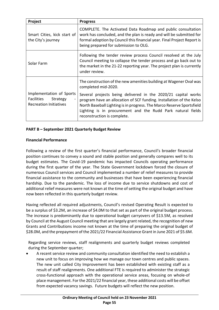| Project                                                                             | <b>Progress</b>                                                                                                                                                                                                                                                                                                                                                                                           |
|-------------------------------------------------------------------------------------|-----------------------------------------------------------------------------------------------------------------------------------------------------------------------------------------------------------------------------------------------------------------------------------------------------------------------------------------------------------------------------------------------------------|
| Smart Cities, kick start of<br>the City's journey                                   | COMPLETE. The Activated Data Roadmap and public consultation<br>work has concluded, and the plan is ready and will be submitted for<br>formal adoption by Council this financial year. Final Project Report is<br>being prepared for submission to OLG.                                                                                                                                                   |
| Solar Farm                                                                          | Following the tender review process Council resolved at the July<br>Council meeting to collapse the tender process and go back out to<br>the market in the 21-22 reporting year. The project plan is currently<br>under review.                                                                                                                                                                           |
| Implementation of Sports<br>Facilities<br>Strategy<br><b>Recreation Initiatives</b> | The construction of the new amenities building at Wagener Oval was<br>completed mid-2020.<br>Several projects being delivered in the 2020/21 capital works<br>program have an allocation of SCF funding. Installation of the Kelso<br>North Baseball Lighting is in progress. The Marco Reserve Sportsfield<br>Lighting is in procurement and the Rudd Park natural fields<br>reconstruction is complete. |

#### **PART B – September 2021 Quarterly Budget Review**

#### **Financial Performance**

Following a review of the first quarter's financial performance, Council's broader financial position continues to convey a sound and stable position and generally compares well to its budget estimates. The Covid-19 pandemic has impacted Councils operating performance during the first quarter of the year. The State Government lockdown forced the closure of numerous Council services and Council implemented a number of relief measures to provide financial assistance to the community and businesses that have been experiencing financial hardship. Due to the pandemic. The loss of income due to service shutdowns and cost of additional relief measures were not known at the time of setting the original budget and have now been reflected in this quarterly budget review.

Having reflected all required adjustments, Council's revised Operating Result is expected to be a surplus of \$3.2M, an increase of \$4.0M to that set as part of the original budget process. The increase is predominantly due to operational budget carryovers of \$13.5M, as resolved by Council at the August Council meeting that are largely grant related, the recognition of new Grants and Contributions income not known at the time of preparing the original budget of \$28.0M, and the prepayment of the 2021/22 Financial Assistance Grant in June 2021 of \$5.6M.

Regarding service reviews, staff realignments and quarterly budget reviews completed during the September quarter;

• A recent service review and community consultation identified the need to establish a new unit to focus on improving how we manage our town centres and public spaces. The new unit called City Improvement has been established with existing staff as a result of staff realignments. One additional FTE is required to administer the strategic cross-functional approach with the operational service areas, focusing on whole-of place management. For the 2021/22 financial year, these additional costs will be offset from expected vacancy savings. Future budgets will reflect the new position.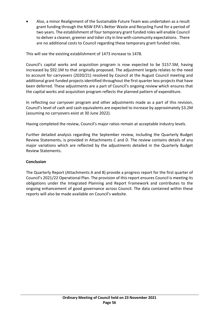• Also, a minor Realignment of the Sustainable Future Team was undertaken as a result grant funding through the NSW EPA's Better Waste and Recycling Fund for a period of two years. The establishment of four temporary grant funded roles will enable Council to deliver a cleaner, greener and tidier city in line with community expectations. There are no additional costs to Council regarding these temporary grant funded roles.

This will see the existing establishment of 1473 increase to 1478.

Council's capital works and acquisition program is now expected to be \$157.5M, having increased by \$92.1M to that originally proposed. The adjustment largely relates to the need to account for carryovers (2020/21) resolved by Council at the August Council meeting and additional grant funded projects identified throughout the first quarter less projects that have been deferred. These adjustments are a part of Council's ongoing review which ensures that the capital works and acquisition program reflects the planned pattern of expenditure.

In reflecting our carryover program and other adjustments made as a part of this revision, Council's level of cash and cash equivalents are expected to increase by approximately \$3.2M (assuming no carryovers exist at 30 June 2022).

Having completed the review, Council's major ratios remain at acceptable industry levels.

Further detailed analysis regarding the September review, including the Quarterly Budget Review Statements, is provided in Attachments C and D. The review contains details of any major variations which are reflected by the adjustments detailed in the Quarterly Budget Review Statements.

#### **Conclusion**

The Quarterly Report (Attachments A and B) provide a progress report for the first quarter of Council's 2021/22 Operational Plan. The provision of this report ensures Council is meeting its obligations under the Integrated Planning and Report Framework and contributes to the ongoing enhancement of good governance across Council. The data contained within these reports will also be made available on Council's website.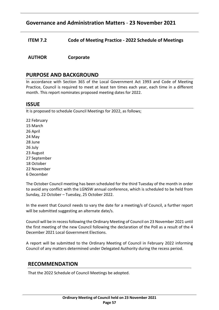# **Governance and Administration Matters** - **23 November 2021**

<span id="page-56-0"></span>**ITEM 7.2 Code of Meeting Practice - 2022 Schedule of Meetings**

**AUTHOR Corporate**

## **PURPOSE AND BACKGROUND**

In accordance with Section 365 of the Local Government Act 1993 and Code of Meeting Practice, Council is required to meet at least ten times each year, each time in a different month. This report nominates proposed meeting dates for 2022.

## **ISSUE**

It is proposed to schedule Council Meetings for 2022, as follows;

22 February 15 March 26 April 24 May 28 June 26 July 23 August 27 September 18 October 22 November 6 December

The October Council meeting has been scheduled for the third Tuesday of the month in order to avoid any conflict with the LGNSW annual conference, which is scheduled to be held from Sunday, 22 October – Tuesday, 25 October 2022.

In the event that Council needs to vary the date for a meeting/s of Council, a further report will be submitted suggesting an alternate date/s.

Council will be in recess following the Ordinary Meeting of Council on 23 November 2021 until the first meeting of the new Council following the declaration of the Poll as a result of the 4 December 2021 Local Government Elections.

A report will be submitted to the Ordinary Meeting of Council in February 2022 informing Council of any matters determined under Delegated Authority during the recess period.

## **RECOMMENDATION**

That the 2022 Schedule of Council Meetings be adopted.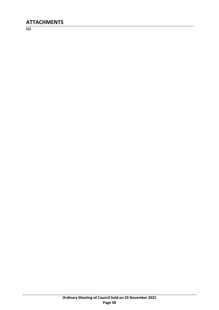# **ATTACHMENTS**

Nil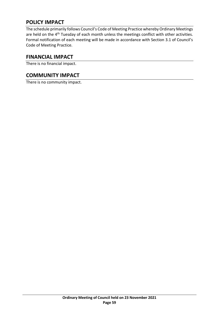The schedule primarily follows Council's Code of Meeting Practice whereby Ordinary Meetings are held on the 4<sup>th</sup> Tuesday of each month unless the meetings conflict with other activities. Formal notification of each meeting will be made in accordance with Section 3.1 of Council's Code of Meeting Practice.

## **FINANCIAL IMPACT**

There is no financial impact.

# **COMMUNITY IMPACT**

There is no community impact.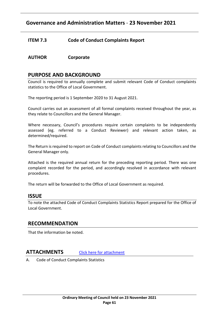# **Governance and Administration Matters** - **23 November 2021**

### <span id="page-60-0"></span>**ITEM 7.3 Code of Conduct Complaints Report**

#### **AUTHOR Corporate**

## **PURPOSE AND BACKGROUND**

Council is required to annually complete and submit relevant Code of Conduct complaints statistics to the Office of Local Government.

The reporting period is 1 September 2020 to 31 August 2021.

Council carries out an assessment of all formal complaints received throughout the year, as they relate to Councillors and the General Manager.

Where necessary, Council's procedures require certain complaints to be independently assessed (eg. referred to a Conduct Reviewer) and relevant action taken, as determined/required.

The Return is required to report on Code of Conduct complaints relating to Councillors and the General Manager only.

Attached is the required annual return for the preceding reporting period. There was one complaint recorded for the period, and accordingly resolved in accordance with relevant procedures.

The return will be forwarded to the Office of Local Government as required.

#### **ISSUE**

To note the attached Code of Conduct Complaints Statistics Report prepared for the Office of Local Government.

#### **RECOMMENDATION**

That the information be noted.

#### **ATTACHMENTS** [Click here for attachment](http://webdocs.bankstown.nsw.gov.au/api/publish?documentPath=aHR0cDovL2lzaGFyZS9zaXRlcy9Hb3Zlcm5hbmNlL0NvdW5jaWwgTWVldGluZ3MvT3JkaW5hcnkgTWVldGluZ3MvMjMuMTEuMjEgTGlua2VkIEF0dGFjaG1lbnQgLSBBbm51YWwgQ29kZSBvZiBDb25kdWN0IENvbXBsYWludCBTdGF0aXN0aWNzLnBkZg==&title=23.11.21%20Linked%20Attachment%20-%20Annual%20Code%20of%20Conduct%20Complaint%20Statistics.pdf)

A. Code of Conduct Complaints Statistics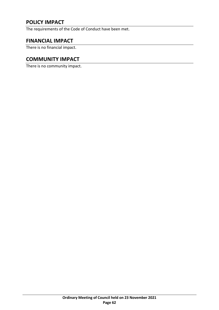The requirements of the Code of Conduct have been met.

## **FINANCIAL IMPACT**

There is no financial impact.

## **COMMUNITY IMPACT**

There is no community impact.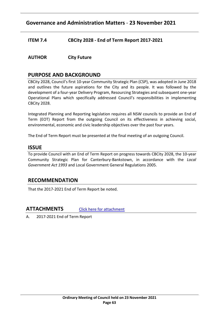# **Governance and Administration Matters** - **23 November 2021**

<span id="page-62-0"></span>**ITEM 7.4 CBCity 2028 - End of Term Report 2017-2021**

**AUTHOR City Future**

## **PURPOSE AND BACKGROUND**

CBCity 2028, Council's first 10-year Community Strategic Plan (CSP), was adopted in June 2018 and outlines the future aspirations for the City and its people. It was followed by the development of a four-year Delivery Program, Resourcing Strategies and subsequent one-year Operational Plans which specifically addressed Council's responsibilities in implementing CBCity 2028.

Integrated Planning and Reporting legislation requires all NSW councils to provide an End of Term (EOT) Report from the outgoing Council on its effectiveness in achieving social, environmental, economic and civic leadership objectives over the past four years.

The End of Term Report must be presented at the final meeting of an outgoing Council.

#### **ISSUE**

To provide Council with an End of Term Report on progress towards CBCity 2028, the 10-year Community Strategic Plan for Canterbury-Bankstown, in accordance with the *Local Government Act 1993* and Local Government General Regulations 2005.

## **RECOMMENDATION**

That the 2017-2021 End of Term Report be noted.

**ATTACHMENTS** [Click here for attachment](http://webdocs.bankstown.nsw.gov.au/api/publish?documentPath=aHR0cDovL2lzaGFyZS9zaXRlcy9Hb3Zlcm5hbmNlL0NvdW5jaWwgTWVldGluZ3MvT3JkaW5hcnkgTWVldGluZ3MvMjMuMTEuMjEgTGlua2VkIEF0dGFjaG1lbnQgLSBFbmQgb2YgVGVybSBSZXBvcnQgMjAxNy0yMDIxLnBkZg==&title=23.11.21%20Linked%20Attachment%20-%20End%20of%20Term%20Report%202017-2021.pdf)

A. 2017-2021 End of Term Report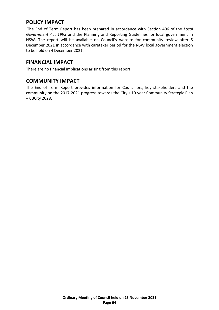The End of Term Report has been prepared in accordance with Section 406 of the *Local Government Act 1993* and the Planning and Reporting Guidelines for local government in NSW. The report will be available on Council's website for community review after 5 December 2021 in accordance with caretaker period for the NSW local government election to be held on 4 December 2021.

# **FINANCIAL IMPACT**

There are no financial implications arising from this report.

# **COMMUNITY IMPACT**

The End of Term Report provides information for Councillors, key stakeholders and the community on the 2017-2021 progress towards the City's 10-year Community Strategic Plan – CBCity 2028.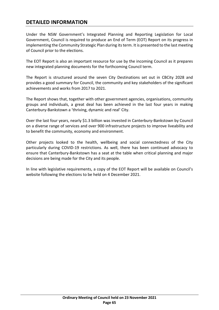# **DETAILED INFORMATION**

Under the NSW Government's Integrated Planning and Reporting Legislation for Local Government, Council is required to produce an End of Term (EOT) Report on its progress in implementing the Community Strategic Plan during its term. It is presented to the last meeting of Council prior to the elections.

The EOT Report is also an important resource for use by the incoming Council as it prepares new integrated planning documents for the forthcoming Council term.

The Report is structured around the seven City Destinations set out in CBCity 2028 and provides a good summary for Council, the community and key stakeholders of the significant achievements and works from 2017 to 2021.

The Report shows that, together with other government agencies, organisations, community groups and individuals, a great deal has been achieved in the last four years in making Canterbury-Bankstown a 'thriving, dynamic and real' City.

Over the last four years, nearly \$1.3 billion was invested in Canterbury-Bankstown by Council on a diverse range of services and over 900 infrastructure projects to improve liveability and to benefit the community, economy and environment.

Other projects looked to the health, wellbeing and social connectedness of the City particularly during COVID-19 restrictions. As well, there has been continued advocacy to ensure that Canterbury-Bankstown has a seat at the table when critical planning and major decisions are being made for the City and its people.

In line with legislative requirements, a copy of the EOT Report will be available on Council's website following the elections to be held on 4 December 2021.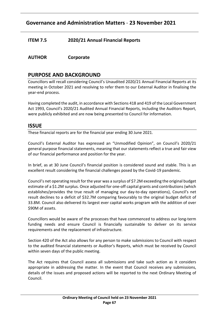# **Governance and Administration Matters** - **23 November 2021**

## <span id="page-66-0"></span>**ITEM 7.5 2020/21 Annual Financial Reports**

## **AUTHOR Corporate**

## **PURPOSE AND BACKGROUND**

Councillors will recall considering Council's Unaudited 2020/21 Annual Financial Reports at its meeting in October 2021 and resolving to refer them to our External Auditor in finalising the year-end process.

Having completed the audit, in accordance with Sections 418 and 419 of the Local Government Act 1993, Council's 2020/21 Audited Annual Financial Reports, including the Auditors Report, were publicly exhibited and are now being presented to Council for information.

## **ISSUE**

These financial reports are for the financial year ending 30 June 2021.

Council's External Auditor has expressed an "Unmodified Opinion", on Council's 2020/21 general purpose financial statements, meaning that our statements reflect a true and fair view of our financial performance and position for the year.

In brief, as at 30 June Council's financial position is considered sound and stable. This is an excellent result considering the financial challenges posed by the Covid-19 pandemic.

Council's net operating result for the year was a surplus of \$7.2M exceeding the original budget estimate of a \$1.2M surplus. Once adjusted for one-off capital grants and contributions (which establishes/provides the true result of managing our day-to-day operations), Council's net result declines to a deficit of \$32.7M comparing favourably to the original budget deficit of 33.8M. Council also delivered its largest ever capital works program with the addition of over \$90M of assets.

Councillors would be aware of the processes that have commenced to address our long-term funding needs and ensure Council is financially sustainable to deliver on its service requirements and the replacement of infrastructure.

Section 420 of the Act also allows for any person to make submissions to Council with respect to the audited financial statements or Auditor's Reports, which must be received by Council within seven days of the public meeting.

The Act requires that Council assess all submissions and take such action as it considers appropriate in addressing the matter. In the event that Council receives any submissions, details of the issues and proposed actions will be reported to the next Ordinary Meeting of Council.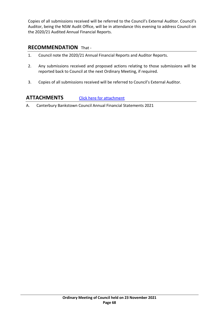Copies of all submissions received will be referred to the Council's External Auditor. Council's Auditor, being the NSW Audit Office, will be in attendance this evening to address Council on the 2020/21 Audited Annual Financial Reports.

## **RECOMMENDATION** That -

- 1. Council note the 2020/21 Annual Financial Reports and Auditor Reports.
- 2. Any submissions received and proposed actions relating to those submissions will be reported back to Council at the next Ordinary Meeting, if required.
- 3. Copies of all submissions received will be referred to Council's External Auditor.

## **ATTACHMENTS** [Click here for attachment](http://webdocs.bankstown.nsw.gov.au/api/publish?documentPath=aHR0cDovL2lzaGFyZS9zaXRlcy9Hb3Zlcm5hbmNlL0NvdW5jaWwgTWVldGluZ3MvT3JkaW5hcnkgTWVldGluZ3MvMjMuMTEuMjEgTGlua2VkIEF0dGFjaG1lbnQgLSAyMDIwLTIxIEFubnVhbCBGaW5hbmNpYWwgUmVwb3J0LnBkZg==&title=23.11.21%20Linked%20Attachment%20-%202020-21%20Annual%20Financial%20Report.pdf)

A. Canterbury Bankstown Council Annual Financial Statements 2021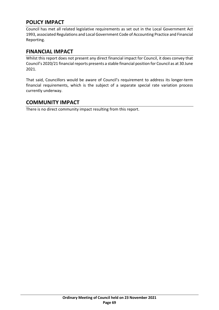Council has met all related legislative requirements as set out in the Local Government Act 1993, associated Regulations and Local Government Code of Accounting Practice and Financial Reporting.

# **FINANCIAL IMPACT**

Whilst this report does not present any direct financial impact for Council, it does convey that Council's 2020/21 financial reports presents a stable financial position for Council as at 30 June 2021.

That said, Councillors would be aware of Council's requirement to address its longer-term financial requirements, which is the subject of a separate special rate variation process currently underway.

# **COMMUNITY IMPACT**

There is no direct community impact resulting from this report.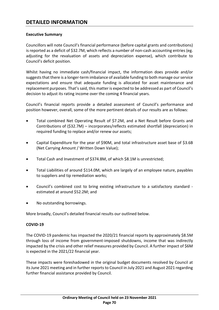# **DETAILED INFORMATION**

#### **Executive Summary**

Councillors will note Council's financial performance (before capital grants and contributions) is reported as a deficit of \$32.7M, which reflects a number of non-cash accounting entries (eg. adjusting for the revaluation of assets and depreciation expense), which contribute to Council's deficit position.

Whilst having no immediate cash/financial impact, the information does provide and/or suggests that there is a longer-term imbalance of available funding to both manage our service expectations and ensure that adequate funding is allocated for asset maintenance and replacement purposes. That's said, this matter is expected to be addressed as part of Council's decision to adjust its rating income over the coming 4 financial years.

Council's financial reports provide a detailed assessment of Council's performance and position however, overall, some of the more pertinent details of our results are as follows:

- Total combined Net Operating Result of \$7.2M, and a Net Result before Grants and Contributions of (\$32.7M) – incorporates/reflects estimated shortfall (depreciation) in required funding to replace and/or renew our assets;
- Capital Expenditure for the year of \$90M, and total infrastructure asset base of \$3.6B (Net Carrying Amount / Written Down Value);
- Total Cash and Investment of \$374.8M, of which \$8.1M is unrestricted;
- Total Liabilities of around \$114.0M, which are largely of an employee nature, payables to suppliers and tip remediation works;
- Council's combined cost to bring existing infrastructure to a satisfactory standard estimated at around \$52.2M; and
- No outstanding borrowings.

More broadly, Council's detailed financial results our outlined below.

#### **COVID-19**

The COVID-19 pandemic has impacted the 2020/21 financial reports by approximately \$8.5M through loss of income from government-imposed shutdowns, income that was indirectly impacted by the crisis and other relief measures provided by Council. A further impact of \$6M is expected in the 2021/22 financial year.

These impacts were foreshadowed in the original budget documents resolved by Council at its June 2021 meeting and in further reports to Council in July 2021 and August 2021 regarding further financial assistance provided by Council.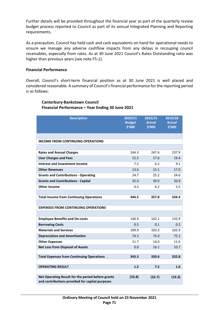Further details will be provided throughout the financial year as part of the quarterly review budget process reported to Council as part of its annual Integrated Planning and Reporting requirements.

As a precaution, Council has held cash and cash equivalents on hand for operational needs to ensure we manage any adverse cashflow impacts from any delays in recouping council receivables, especially from rates. As at 30 June 2021 Council's Rates Outstanding ratio was higher than previous years (see note F5-1).

#### **Financial Performance**

Overall, Council's short-term financial position as at 30 June 2021 is well placed and considered reasonable. A summary of Council's financial performance for the reporting period is as follows:

## **Description 2020/21 Budget \$'000 2020/21 Actual \$'000 2019/20 Actual \$'000 INCOME FROM CONTINUING OPERATIONS Rates and Annual Charges** 244.3 247.6 237.9 **User Charges and Fees**  15.5 17.6 19.4 **Interest and Investment Income** 7.2 6.2 9.1 **Other Revenues 13.6** 15.1 17.0 **Grants and Contributions - Operating** 24.7 25.2 24.6 **Grants and Contributions - Capital** 35.0 39.9 20.9 **Other Income**  6.2 5.5 **Total Income from Continuing Operations 344.5 357.8 334.4 EXPENSES FROM CONTINUING OPERATIONS Employee Benefits and On-costs** 146.9 142.1 132.9 **Borrowing Costs**  0.5 0.1 0.2 **Materials and Services** 109.9 103.3 102.9 **Depreciation and Amortisation** <br> **74.3** 75.0 75.1 **Other Expenses**  11.7 14.0 11.0 11.0 **Net Loss from Disposal of Assets** 0.0 16.1 10.7 **Total Expenses from Continuing Operations 343.3 350.6 332.8 OPERATING RESULT 1.2 7.2 1.6 Net Operating Result for the period before grants and contributions provided for capital purposes (33.8) (32.7) (19.3)**

#### **Canterbury-Bankstown Council Financial Performance – Year Ending 30 June 2021**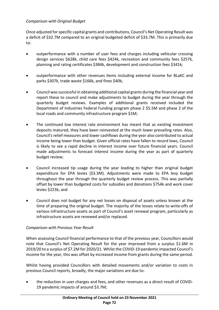#### *Comparison with Original Budget*

Once adjusted for specific capital grants and contributions, Council's Net Operating Result was a deficit of \$32.7M compared to an original budgeted deficit of \$33.7M. This is primarily due to:

- outperformance with a number of user fees and charges including vehicular crossing design services \$628k, child care fees \$424k, recreation and community fees \$257k, planning and rating certificates \$384k, development and construction fees \$341k;
- outperformance with other revenues items including external income for BLaKC and parks \$307k, trade waste \$166k, and fines \$40k;
- Council was successful in obtaining additional capital grants during the financial year and report these to council and make adjustments to budget during the year through the quarterly budget reviews. Examples of additional grants received included the Department of Industries Federal Funding program phase 2 \$5.5M and phase 2 of the local roads and community infrastructure program \$1M;
- The continued low interest rate environment has meant that as existing investment deposits matured, they have been reinvested at the much lower prevailing rates. Also, Council's relief measures and lower cashflows during the year also contributed to actual income being lower than budget. Given official rates have fallen to record lows, Council is likely to see a rapid decline in interest income over future financial years. Council made adjustments to forecast interest income during the year as part of quarterly budget review;
- Council increased tip usage during the year leading to higher than original budget expenditure for EPA levies (\$3.3M). Adjustments were made to EPA levy budget throughout the year through the quarterly budget review process. This was partially offset by lower than budgeted costs for subsidies and donations \$754k and work cover levies \$223k; and
- Council does not budget for any net losses on disposal of assets unless known at the time of preparing the original budget. The majority of the losses relate to write-offs of various infrastructure assets as part of Council's asset renewal program, particularly as infrastructure assets are renewed and/or replaced.

#### *Comparison with Previous Year Result*

When assessing Council financial performance to that of the previous year, Councillors would note that Council's Net Operating Result for the year improved from a surplus \$1.6M in 2019/20 to a surplus of \$7.2M for 2020/21. Whilst the COVID-19 pandemic impacted Council's income for the year, this was offset by increased income from grants during the same period.

Whilst having provided Councillors with detailed movements and/or variation to costs in previous Council reports, broadly, the major variations are due to:

• the reduction in user charges and fees, and other revenues as a direct result of COVID-19 pandemic impacts of around \$3.7M;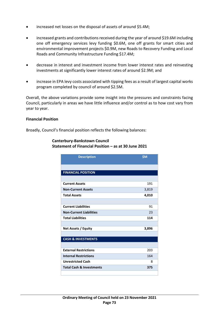- increased net losses on the disposal of assets of around \$5.4M;
- increased grants and contributions received during the year of around \$19.6M including one off emergency services levy funding \$0.6M, one off grants for smart cities and environmental improvement projects \$0.9M, new Roads to Recovery Funding and Local Roads and Community Infrastructure Funding \$17.4M;
- decrease in interest and investment income from lower interest rates and reinvesting investments at significantly lower interest rates of around \$2.9M; and
- increase in EPA levy costs associated with tipping fees as a result of largest capital works program completed by council of around \$2.5M.

Overall, the above variations provide some insight into the pressures and constraints facing Council, particularly in areas we have little influence and/or control as to how cost vary from year to year.

#### **Financial Position**

Broadly, Council's financial position reflects the following balances:

| <b>Description</b>                  | \$M   |
|-------------------------------------|-------|
|                                     |       |
| <b>FINANCIAL POSITION</b>           |       |
|                                     |       |
| <b>Current Assets</b>               | 191   |
| <b>Non-Current Assets</b>           | 3,819 |
| <b>Total Assets</b>                 | 4,010 |
|                                     |       |
| <b>Current Liabilities</b>          | 91    |
| <b>Non-Current Liabilities</b>      | 23    |
| <b>Total Liabilities</b>            | 114   |
|                                     |       |
| Net Assets / Equity                 | 3,896 |
|                                     |       |
| <b>CASH &amp; INVESTMENTS</b>       |       |
|                                     |       |
| <b>External Restrictions</b>        | 203   |
| <b>Internal Restrictions</b>        | 164   |
| <b>Unrestricted Cash</b>            | 8     |
| <b>Total Cash &amp; Investments</b> | 375   |
|                                     |       |

#### **Canterbury-Bankstown Council Statement of Financial Position – as at 30 June 2021**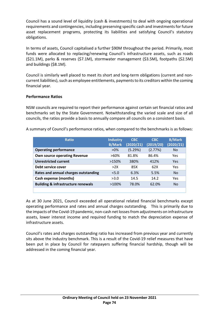Council has a sound level of liquidity (cash & investments) to deal with ongoing operational requirements and contingencies, including preserving specific cash and investments for future asset replacement programs, protecting its liabilities and satisfying Council's statutory obligations.

In terms of assets, Council capitalised a further \$90M throughout the period. Primarily, most funds were allocated to replacing/renewing Council's infrastructure assets, such as roads (\$21.1M), parks & reserves (\$7.1M), stormwater management (\$3.5M), footpaths (\$2.5M) and buildings (\$8.1M).

Council is similarly well placed to meet its short and long-term obligations (current and noncurrent liabilities), such as employee entitlements, payments to its creditors within the coming financial year.

#### **Performance Ratios**

NSW councils are required to report their performance against certain set financial ratios and benchmarks set by the State Government. Notwithstanding the varied scale and size of all councils, the ratios provide a basis to annually compare all councils on a consistent basis.

A summary of Council's performance ratios, when compared to the benchmarks is as follows:

| <b>Ratio</b>                                  | <b>Industry</b><br><b>B/Mark</b> | <b>CBC</b><br>(2020/21) | <b>CBC</b><br>(2019/20) | <b>B/Mark</b><br>(2020/21) |
|-----------------------------------------------|----------------------------------|-------------------------|-------------------------|----------------------------|
| <b>Operating performance</b>                  | $>0\%$                           | (5.29%)                 | (2.77%)                 | <b>No</b>                  |
| <b>Own source operating Revenue</b>           | >60%                             | 81.8%                   | 86.4%                   | Yes                        |
| <b>Unrestricted current</b>                   | >150%                            | 380%                    | 412%                    | Yes                        |
| Debt service cover                            | >2X                              | 85X                     | 62X                     | Yes                        |
| Rates and annual charges outstanding          | < 5.0                            | 6.3%                    | 5.5%                    | <b>No</b>                  |
| Cash expense (months)                         | >3.0                             | 14.5                    | 14.2                    | Yes                        |
| <b>Building &amp; infrastructure renewals</b> | $>100\%$                         | 78.0%                   | 62.0%                   | <b>No</b>                  |
|                                               |                                  |                         |                         |                            |

As at 30 June 2021, Council exceeded all operational related financial benchmarks except operating performance and rates and annual charges outstanding. This is primarily due to the impacts of the Covid-19 pandemic, non-cash net losses from adjustments on infrastructure assets, lower interest income and required funding to match the depreciation expense of infrastructure assets.

Council's rates and charges outstanding ratio has increased from previous year and currently sits above the industry benchmark. This is a result of the Covid-19 relief measures that have been put in place by Council for ratepayers suffering financial hardship, though will be addressed in the coming financial year.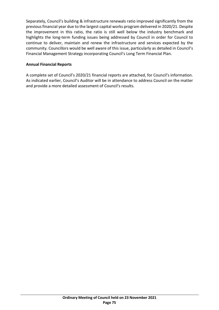Separately, Council's building & infrastructure renewals ratio improved significantly from the previous financial year due to the largest capital works program delivered in 2020/21. Despite the improvement in this ratio, the ratio is still well below the industry benchmark and highlights the long-term funding issues being addressed by Council in order for Council to continue to deliver, maintain and renew the infrastructure and services expected by the community. Councillors would be well aware of this issue, particularly as detailed in Council's Financial Management Strategy incorporating Council's Long Term Financial Plan.

#### **Annual Financial Reports**

A complete set of Council's 2020/21 financial reports are attached, for Council's information. As indicated earlier, Council's Auditor will be in attendance to address Council on the matter and provide a more detailed assessment of Council's results.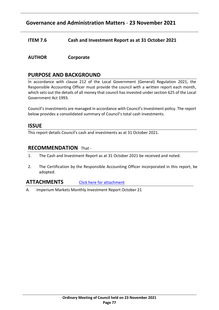# **Governance and Administration Matters** - **23 November 2021**

- **ITEM 7.6 Cash and Investment Report as at 31 October 2021**
- **AUTHOR Corporate**

### **PURPOSE AND BACKGROUND**

In accordance with clause 212 of the Local Government (General) Regulation 2021, the Responsible Accounting Officer must provide the council with a written report each month, which sets out the details of all money that council has invested under section 625 of the Local Government Act 1993.

Council's investments are managed in accordance with Council's Investment policy. The report below provides a consolidated summary of Council's total cash investments.

#### **ISSUE**

This report details Council's cash and investments as at 31 October 2021.

#### **RECOMMENDATION** That -

- 1. The Cash and Investment Report as at 31 October 2021 be received and noted.
- 2. The Certification by the Responsible Accounting Officer incorporated in this report, be adopted.

# **ATTACHMENTS** [Click here for attachment](http://webdocs.bankstown.nsw.gov.au/api/publish?documentPath=aHR0cDovL2lzaGFyZS9zaXRlcy9Hb3Zlcm5hbmNlL0NvdW5jaWwgTWVldGluZ3MvT3JkaW5hcnkgTWVldGluZ3MvMjMuMTEuMjEgTGlua2VkIEF0dGFjaG1lbnQgLSBDYXNoIGFuZCBJbnZlc3RtZW50IFJlcG9ydC5wZGY=&title=23.11.21%20Linked%20Attachment%20-%20Cash%20and%20Investment%20Report.pdf)

A. Imperium Markets Monthly Investment Report October 21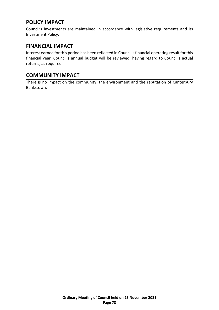# **POLICY IMPACT**

Council's investments are maintained in accordance with legislative requirements and its Investment Policy.

# **FINANCIAL IMPACT**

Interest earned for this period has been reflected in Council's financial operating result for this financial year. Council's annual budget will be reviewed, having regard to Council's actual returns, as required.

# **COMMUNITY IMPACT**

There is no impact on the community, the environment and the reputation of Canterbury Bankstown.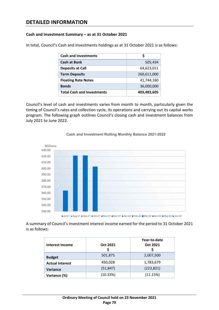# **DETAILED INFORMATION**

#### **Cash and Investment Summary – as at 31 October 2021**

In total, Council's Cash and Investments holdings as at 31 October 2021 is as follows:

| <b>Cash and Investments</b>       |             |
|-----------------------------------|-------------|
| <b>Cash at Bank</b>               | 505,434     |
| <b>Deposits at Call</b>           | 64,623,011  |
| <b>Term Deposits</b>              | 260,611,000 |
| <b>Floating Rate Notes</b>        | 41,744,160  |
| <b>Bonds</b>                      | 36,000,000  |
| <b>Total Cash and Investments</b> | 403,483,605 |

Council's level of cash and investments varies from month to month, particularly given the timing of Council's rates and collection cycle, its operations and carrying out its capital works program. The following graph outlines Council's closing cash and investment balances from July 2021 to June 2022.



#### **Cash and Investment Rolling Monthly Balance 2021-2022**

A summary of Council's investment interest income earned for the period to 31 October 2021 is as follows:

| Interest Income        | Oct 2021<br>S | Year-to-date<br>Oct 2021 |
|------------------------|---------------|--------------------------|
| <b>Budget</b>          | 501,875       | 2,007,500                |
| <b>Actual Interest</b> | 450,028       | 1,783,679                |
| Variance               | (51, 847)     | (223, 821)               |
| Variance (%)           | (10.33%)      | (11.15%)                 |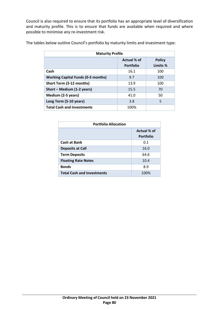Council is also required to ensure that its portfolio has an appropriate level of diversification and maturity profile. This is to ensure that funds are available when required and where possible to minimise any re-investment risk.

| <b>Maturity Profile</b>                   |                  |               |
|-------------------------------------------|------------------|---------------|
|                                           | Actual % of      | <b>Policy</b> |
|                                           | <b>Portfolio</b> | Limits %      |
| Cash                                      | 16.1             | 100           |
| <b>Working Capital Funds (0-3 months)</b> | 9.7              | 100           |
| Short Term (3-12 months)                  | 13.9             | 100           |
| Short - Medium (1-2 years)                | 15.5             | 70            |
| Medium (2-5 years)                        | 41.0             | 50            |
| Long Term (5-10 years)                    | 3.8              | 5             |
| <b>Total Cash and Investments</b>         | 100%             |               |

The tables below outline Council's portfolio by maturity limits and investment type:

| <b>Portfolio Allocation</b>       |                                 |  |
|-----------------------------------|---------------------------------|--|
|                                   | Actual % of<br><b>Portfolio</b> |  |
| <b>Cash at Bank</b>               | 0.1                             |  |
| <b>Deposits at Call</b>           | 16.0                            |  |
| <b>Term Deposits</b>              | 64.6                            |  |
| <b>Floating Rate Notes</b>        | 10.4                            |  |
| <b>Bonds</b>                      | 8.9                             |  |
| <b>Total Cash and Investments</b> | 100%                            |  |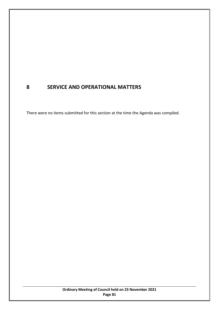# **8 SERVICE AND OPERATIONAL MATTERS**

There were no items submitted for this section at the time the Agenda was compiled.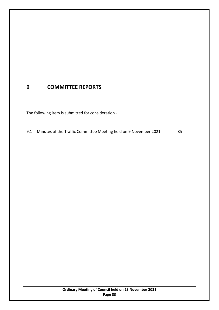# **9 COMMITTEE REPORTS**

The following item is submitted for consideration -

9.1 Minutes of the Traffic Committee Meeting held on 9 November 2021 [85](#page-84-0)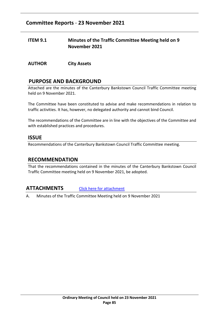# **Committee Reports** - **23 November 2021**

### <span id="page-84-0"></span>**ITEM 9.1 Minutes of the Traffic Committee Meeting held on 9 November 2021**

**AUTHOR City Assets**

### **PURPOSE AND BACKGROUND**

Attached are the minutes of the Canterbury Bankstown Council Traffic Committee meeting held on 9 November 2021.

The Committee have been constituted to advise and make recommendations in relation to traffic activities. It has, however, no delegated authority and cannot bind Council.

The recommendations of the Committee are in line with the objectives of the Committee and with established practices and procedures.

#### **ISSUE**

Recommendations of the Canterbury Bankstown Council Traffic Committee meeting.

#### **RECOMMENDATION**

That the recommendations contained in the minutes of the Canterbury Bankstown Council Traffic Committee meeting held on 9 November 2021, be adopted.

#### **ATTACHMENTS** [Click here for attachment](http://webdocs.bankstown.nsw.gov.au/api/publish?documentPath=aHR0cDovL2lzaGFyZS9zaXRlcy9Hb3Zlcm5hbmNlL0NvdW5jaWwgTWVldGluZ3MvT3JkaW5hcnkgTWVldGluZ3MvMjMuMTEuMjEgTGlua2VkIEF0dGFjaG1lbnQgLSBNaW51dGVzIG9mIFRyYWZmaWMgQ29tbWl0dGVlIGhlbGQgOSBOb3YucGRm&title=23.11.21%20Linked%20Attachment%20-%20Minutes%20of%20Traffic%20Committee%20held%209%20Nov.pdf)

A. Minutes of the Traffic Committee Meeting held on 9 November 2021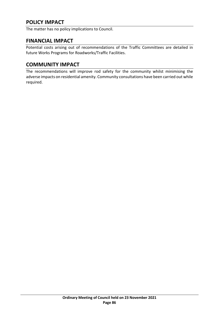# **POLICY IMPACT**

The matter has no policy implications to Council.

### **FINANCIAL IMPACT**

Potential costs arising out of recommendations of the Traffic Committees are detailed in future Works Programs for Roadworks/Traffic Facilities.

# **COMMUNITY IMPACT**

The recommendations will improve rod safety for the community whilst minimising the adverse impacts on residential amenity. Community consultations have been carried out while required.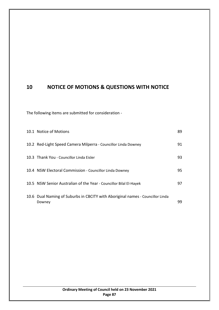# **10 NOTICE OF MOTIONS & QUESTIONS WITH NOTICE**

The following items are submitted for consideration -

| 10.1 Notice of Motions                                                                   | 89  |
|------------------------------------------------------------------------------------------|-----|
| 10.2 Red-Light Speed Camera Milperra - Councillor Linda Downey                           | 91  |
| 10.3 Thank You - Councillor Linda Eisler                                                 | 93  |
| 10.4 NSW Electoral Commission - Councillor Linda Downey                                  | 95. |
| 10.5 NSW Senior Australian of the Year - Councillor Bilal El-Hayek                       | 97  |
| 10.6 Dual Naming of Suburbs in CBCITY with Aboriginal names - Councillor Linda<br>Downey | 99  |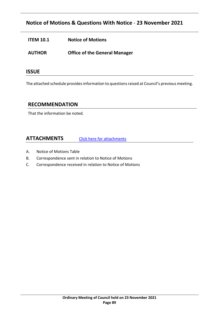# **Notice of Motions & Questions With Notice** - **23 November 2021**

- <span id="page-88-0"></span>**ITEM 10.1 Notice of Motions**
- **AUTHOR Office of the General Manager**

#### **ISSUE**

The attached schedule provides information to questions raised at Council's previous meeting.

### **RECOMMENDATION**

That the information be noted.

# **ATTACHMENTS** [Click here for attachments](http://webdocs.bankstown.nsw.gov.au/api/publish?documentPath=aHR0cDovL2lzaGFyZS9zaXRlcy9Hb3Zlcm5hbmNlL0NvdW5jaWwgTWVldGluZ3MvT3JkaW5hcnkgTWVldGluZ3MvMjMuMTEuMjEgTGlua2VkIEF0dGFjaG1lbnQgLSBOb3RpY2Ugb2YgTW90aW9ucy5wZGY=&title=23.11.21%20Linked%20Attachment%20-%20Notice%20of%20Motions.pdf)

- A. Notice of Motions Table
- B. Correspondence sent in relation to Notice of Motions
- C. Correspondence received in relation to Notice of Motions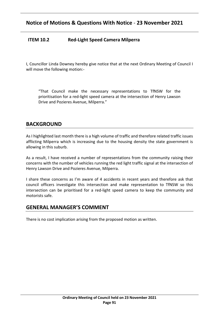### <span id="page-90-0"></span>**ITEM 10.2 Red-Light Speed Camera Milperra**

I, Councillor Linda Downey hereby give notice that at the next Ordinary Meeting of Council I will move the following motion:-

"That Council make the necessary representations to TfNSW for the prioritisation for a red-light speed camera at the intersection of Henry Lawson Drive and Pozieres Avenue, Milperra."

# **BACKGROUND**

As I highlighted last month there is a high volume of traffic and therefore related traffic issues afflicting Milperra which is increasing due to the housing density the state government is allowing in this suburb.

As a result, I have received a number of representations from the community raising their concerns with the number of vehicles running the red light traffic signal at the intersection of Henry Lawson Drive and Pozieres Avenue, Milperra.

I share these concerns as I'm aware of 4 accidents in recent years and therefore ask that council officers investigate this intersection and make representation to TfNSW so this intersection can be prioritised for a red-light speed camera to keep the community and motorists safe.

#### **GENERAL MANAGER'S COMMENT**

There is no cost implication arising from the proposed motion as written.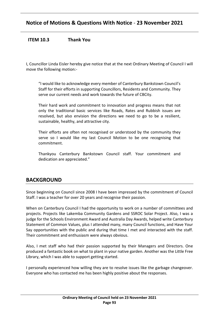### <span id="page-92-0"></span>**ITEM 10.3 Thank You**

I, Councillor Linda Eisler hereby give notice that at the next Ordinary Meeting of Council I will move the following motion:-

"I would like to acknowledge every member of Canterbury Bankstown Council's Staff for their efforts in supporting Councillors, Residents and Community. They serve our current needs and work towards the future of CBCity.

Their hard work and commitment to innovation and progress means that not only the traditional basic services like Roads, Rates and Rubbish issues are resolved, but also envision the directions we need to go to be a resilient, sustainable, healthy, and attractive city.

Their efforts are often not recognised or understood by the community they serve so I would like my last Council Motion to be one recognising that commitment.

Thankyou Canterbury Bankstown Council staff. Your commitment and dedication are appreciated."

### **BACKGROUND**

Since beginning on Council since 2008 I have been impressed by the commitment of Council Staff. I was a teacher for over 20 years and recognise their passion.

When on Canterbury Council I had the opportunity to work on a number of committees and projects. Projects like Lakemba Community Gardens and SSROC Solar Project. Also, I was a judge for the Schools Environment Award and Australia Day Awards, helped write Canterbury Statement of Common Values, plus I attended many, many Council functions, and Have Your Say opportunities with the public and during that time I met and interacted with the staff. Their commitment and enthusiasm were always obvious.

Also, I met staff who had their passion supported by their Managers and Directors. One produced a fantastic book on what to plant in your native garden. Another was the Little Free Library, which I was able to support getting started.

I personally experienced how willing they are to resolve issues like the garbage changeover. Everyone who has contacted me has been highly positive about the responses.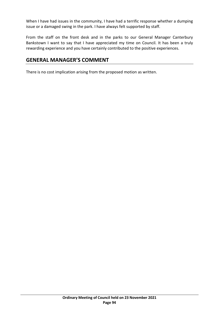When I have had issues in the community, I have had a terrific response whether a dumping issue or a damaged swing in the park. I have always felt supported by staff.

From the staff on the front desk and in the parks to our General Manager Canterbury Bankstown I want to say that I have appreciated my time on Council. It has been a truly rewarding experience and you have certainly contributed to the positive experiences.

### **GENERAL MANAGER'S COMMENT**

There is no cost implication arising from the proposed motion as written.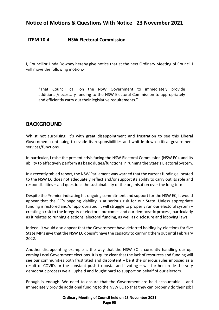### <span id="page-94-0"></span>**ITEM 10.4 NSW Electoral Commission**

I, Councillor Linda Downey hereby give notice that at the next Ordinary Meeting of Council I will move the following motion:-

"That Council call on the NSW Government to immediately provide additional/necessary funding to the NSW Electoral Commission to appropriately and efficiently carry out their legislative requirements."

# **BACKGROUND**

Whilst not surprising, it's with great disappointment and frustration to see this Liberal Government continuing to evade its responsibilities and whittle down critical government services/functions.

In particular, I raise the present crisis facing the NSW Electoral Commission (NSW EC), and its ability to effectively perform its basic duties/functions in running the State's Electoral System.

In a recently tabled report, the NSW Parliament was warned that the current funding allocated to the NSW EC does not adequately reflect and/or support its ability to carry out its role and responsibilities – and questions the sustainability of the organisation over the long term.

Despite the Premier indicating his ongoing commitment and support for the NSW EC, it would appear that the EC's ongoing viability is at serious risk for our State. Unless appropriate funding is restored and/or appropriated, it will struggle to properly run our electoral system – creating a risk to the integrity of electoral outcomes and our democratic process, particularly as it relates to running elections, electoral funding, as well as disclosure and lobbying laws.

Indeed, it would also appear that the Government have deferred holding by-elections for five State MP's give that the NSW EC doesn't have the capacity to carrying them out until February 2022.

Another disappointing example is the way that the NSW EC is currently handling our upcoming Local Government elections. It is quite clear that the lack of resources and funding will see our communities both frustrated and discontent – be it the onerous rules imposed as a result of COVID, or the constant push to postal and i-voting – will further erode the very democratic process we all upheld and fought hard to support on behalf of our electors.

Enough is enough. We need to ensure that the Government are held accountable – and immediately provide additional funding to the NSW EC so that they can properly do their job!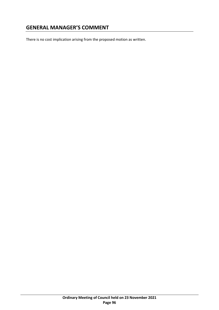# **GENERAL MANAGER'S COMMENT**

There is no cost implication arising from the proposed motion as written.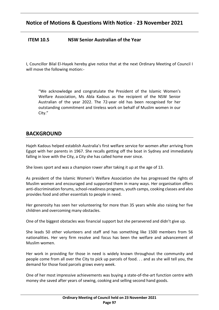### <span id="page-96-0"></span>**ITEM 10.5 NSW Senior Australian of the Year**

I, Councillor Bilal El-Hayek hereby give notice that at the next Ordinary Meeting of Council I will move the following motion:-

"We acknowledge and congratulate the President of the Islamic Women's Welfare Association, Ms Abla Kadous as the recipient of the NSW Senior Australian of the year 2022. The 72-year old has been recognised for her outstanding commitment and tireless work on behalf of Muslim women in our City."

### **BACKGROUND**

Hajeh Kadous helped establish Australia's first welfare service for women after arriving from Egypt with her parents in 1967. She recalls getting off the boat in Sydney and immediately falling in love with the City, a City she has called home ever since.

She loves sport and was a champion rower after taking it up at the age of 13.

As president of the Islamic Women's Welfare Association she has progressed the rights of Muslim women and encouraged and supported them in many ways. Her organisation offers anti-discrimination forums, school-readiness programs, youth camps, cooking classes and also provides food and other essentials to people in need.

Her generosity has seen her volunteering for more than 35 years while also raising her five children and overcoming many obstacles.

One of the biggest obstacles was financial support but she persevered and didn't give up.

She leads 50 other volunteers and staff and has something like 1500 members from 56 nationalities. Her very firm resolve and focus has been the welfare and advancement of Muslim women.

Her work in providing for those in need is widely known throughout the community and people come from all over the City to pick up parcels of food. . . and as she will tell you, the demand for those food parcels grows every week.

One of her most impressive achievements was buying a state-of-the-art function centre with money she saved after years of sewing, cooking and selling second hand goods.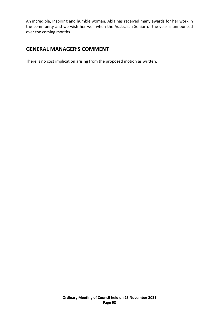An incredible, Inspiring and humble woman, Abla has received many awards for her work in the community and we wish her well when the Australian Senior of the year is announced over the coming months.

# **GENERAL MANAGER'S COMMENT**

There is no cost implication arising from the proposed motion as written.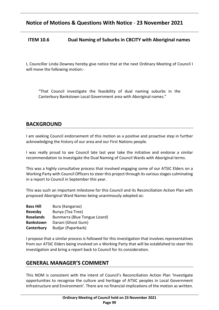### <span id="page-98-0"></span>**ITEM 10.6 Dual Naming of Suburbs in CBCITY with Aboriginal names**

I, Councillor Linda Downey hereby give notice that at the next Ordinary Meeting of Council I will move the following motion:-

"That Council investigate the feasibility of dual naming suburbs in the Canterbury Bankstown Local Government area with Aboriginal names."

# **BACKGROUND**

I am seeking Council endorsement of this motion as a positive and proactive step in further acknowledging the history of our area and our First Nations people.

I was really proud to see Council late last year take the initiative and endorse a similar recommendation to investigate the Dual Naming of Council Wards with Aboriginal terms.

This was a highly consultative process that involved engaging some of our ATSIC Elders on a Working Party with Council Officers to steer this project through its various stages culminating in a report to Council in September this year.

This was such an important milestone for this Council and its Reconciliation Action Plan with proposed Aboriginal Ward Names being unanimously adopted as:

| <b>Bass Hill</b> | Bura (Kangaroo)               |
|------------------|-------------------------------|
| Revesby          | Bunya (Tea Tree)              |
| <b>Roselands</b> | Bunmarra (Blue Tongue Lizard) |
| <b>Bankstown</b> | Darani (Ghost Gum)            |
| Canterbury       | Budjar (Paperbark)            |

I propose that a similar process is followed for this investigation that involves representatives from our ATSIC Elders being involved on a Working Party that will be established to steer this investigation and bring a report back to Council for its consideration.

### **GENERAL MANAGER'S COMMENT**

This NOM is consistent with the intent of Council's Reconciliation Action Plan 'Investigate opportunities to recognise the culture and heritage of ATSIC peoples in Local Government Infrastructure and Environment'. There are no financial implications of the motion as written.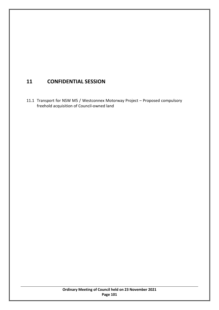# **11 CONFIDENTIAL SESSION**

11.1 Transport for NSW M5 / Westconnex Motorway Project – Proposed compulsory freehold acquisition of Council-owned land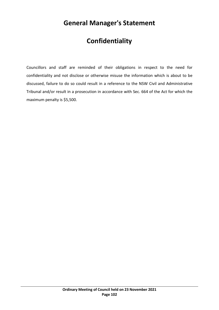# **General Manager's Statement**

# **Confidentiality**

Councillors and staff are reminded of their obligations in respect to the need for confidentiality and not disclose or otherwise misuse the information which is about to be discussed, failure to do so could result in a reference to the NSW Civil and Administrative Tribunal and/or result in a prosecution in accordance with Sec. 664 of the Act for which the maximum penalty is \$5,500.